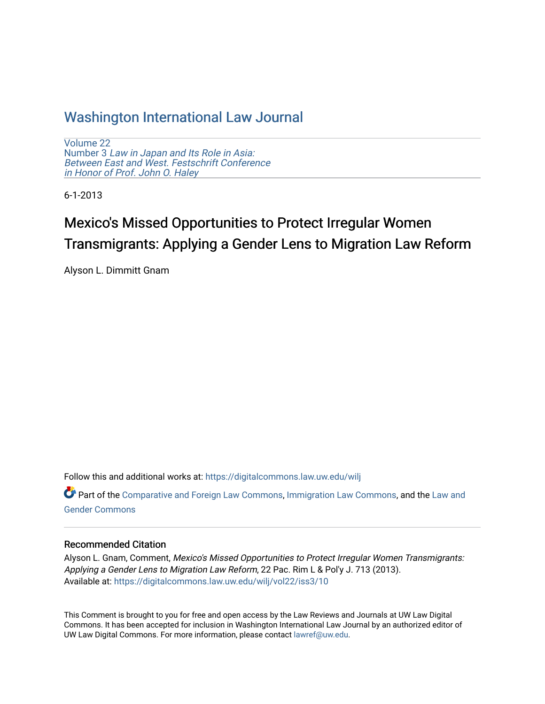# [Washington International Law Journal](https://digitalcommons.law.uw.edu/wilj)

[Volume 22](https://digitalcommons.law.uw.edu/wilj/vol22) Number 3 [Law in Japan and Its Role in Asia:](https://digitalcommons.law.uw.edu/wilj/vol22/iss3)  [Between East and West. Festschrift Conference](https://digitalcommons.law.uw.edu/wilj/vol22/iss3)  [in Honor of Prof. John O. Haley](https://digitalcommons.law.uw.edu/wilj/vol22/iss3) 

6-1-2013

# Mexico's Missed Opportunities to Protect Irregular Women Transmigrants: Applying a Gender Lens to Migration Law Reform

Alyson L. Dimmitt Gnam

Follow this and additional works at: [https://digitalcommons.law.uw.edu/wilj](https://digitalcommons.law.uw.edu/wilj?utm_source=digitalcommons.law.uw.edu%2Fwilj%2Fvol22%2Fiss3%2F10&utm_medium=PDF&utm_campaign=PDFCoverPages) 

Part of the [Comparative and Foreign Law Commons,](http://network.bepress.com/hgg/discipline/836?utm_source=digitalcommons.law.uw.edu%2Fwilj%2Fvol22%2Fiss3%2F10&utm_medium=PDF&utm_campaign=PDFCoverPages) [Immigration Law Commons,](http://network.bepress.com/hgg/discipline/604?utm_source=digitalcommons.law.uw.edu%2Fwilj%2Fvol22%2Fiss3%2F10&utm_medium=PDF&utm_campaign=PDFCoverPages) and the Law and [Gender Commons](http://network.bepress.com/hgg/discipline/1298?utm_source=digitalcommons.law.uw.edu%2Fwilj%2Fvol22%2Fiss3%2F10&utm_medium=PDF&utm_campaign=PDFCoverPages) 

#### Recommended Citation

Alyson L. Gnam, Comment, Mexico's Missed Opportunities to Protect Irregular Women Transmigrants: Applying a Gender Lens to Migration Law Reform, 22 Pac. Rim L & Pol'y J. 713 (2013). Available at: [https://digitalcommons.law.uw.edu/wilj/vol22/iss3/10](https://digitalcommons.law.uw.edu/wilj/vol22/iss3/10?utm_source=digitalcommons.law.uw.edu%2Fwilj%2Fvol22%2Fiss3%2F10&utm_medium=PDF&utm_campaign=PDFCoverPages)

This Comment is brought to you for free and open access by the Law Reviews and Journals at UW Law Digital Commons. It has been accepted for inclusion in Washington International Law Journal by an authorized editor of UW Law Digital Commons. For more information, please contact [lawref@uw.edu](mailto:lawref@uw.edu).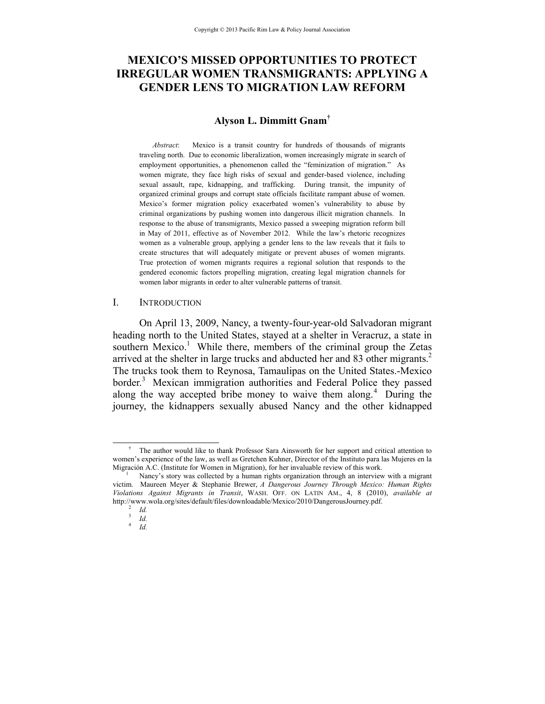# **MEXICO'S MISSED OPPORTUNITIES TO PROTECT IRREGULAR WOMEN TRANSMIGRANTS: APPLYING A GENDER LENS TO MIGRATION LAW REFORM**

#### **Alyson L. Dimmitt Gnam†**

*Abstract*: Mexico is a transit country for hundreds of thousands of migrants traveling north. Due to economic liberalization, women increasingly migrate in search of employment opportunities, a phenomenon called the "feminization of migration." As women migrate, they face high risks of sexual and gender-based violence, including sexual assault, rape, kidnapping, and trafficking. During transit, the impunity of organized criminal groups and corrupt state officials facilitate rampant abuse of women. Mexico's former migration policy exacerbated women's vulnerability to abuse by criminal organizations by pushing women into dangerous illicit migration channels. In response to the abuse of transmigrants, Mexico passed a sweeping migration reform bill in May of 2011, effective as of November 2012. While the law's rhetoric recognizes women as a vulnerable group, applying a gender lens to the law reveals that it fails to create structures that will adequately mitigate or prevent abuses of women migrants. True protection of women migrants requires a regional solution that responds to the gendered economic factors propelling migration, creating legal migration channels for women labor migrants in order to alter vulnerable patterns of transit.

#### I. INTRODUCTION

On April 13, 2009, Nancy, a twenty-four-year-old Salvadoran migrant heading north to the United States, stayed at a shelter in Veracruz, a state in southern Mexico.<sup>1</sup> While there, members of the criminal group the Zetas arrived at the shelter in large trucks and abducted her and 83 other migrants. $2$ The trucks took them to Reynosa, Tamaulipas on the United States.-Mexico border.<sup>3</sup> Mexican immigration authorities and Federal Police they passed along the way accepted bribe money to waive them along.<sup>4</sup> During the journey, the kidnappers sexually abused Nancy and the other kidnapped

 <sup>†</sup>  $\dagger$  The author would like to thank Professor Sara Ainsworth for her support and critical attention to women's experience of the law, as well as Gretchen Kuhner, Director of the Instituto para las Mujeres en la Migración A.C. (Institute for Women in Migration), for her invaluable review of this work. 1

Nancy's story was collected by a human rights organization through an interview with a migrant victim. Maureen Meyer & Stephanie Brewer, *A Dangerous Journey Through Mexico: Human Rights Violations Against Migrants in Transit*, WASH. OFF. ON LATIN AM., 4, 8 (2010), *available at*  http://www.wola.org/sites/default/files/downloadable/Mexico/2010/DangerousJourney.pdf.<br>
<sup>2</sup> *Id.*<br>
<sup>4</sup> *Id.*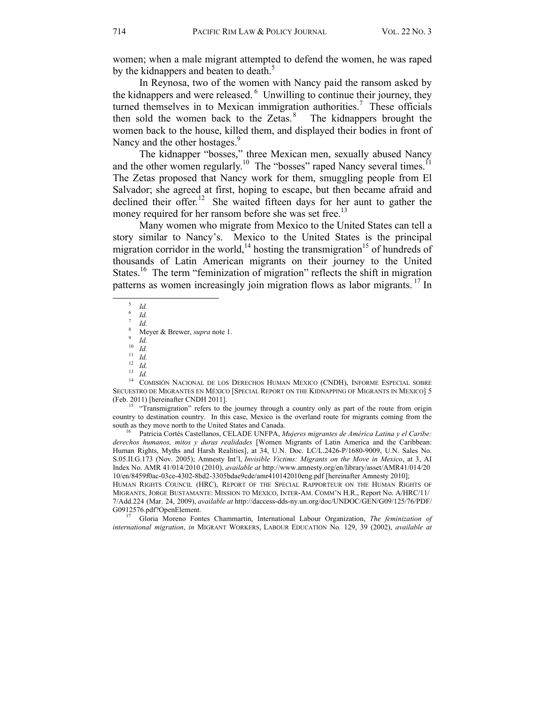women; when a male migrant attempted to defend the women, he was raped by the kidnappers and beaten to death.<sup>5</sup>

In Reynosa, two of the women with Nancy paid the ransom asked by the kidnappers and were released. 6 Unwilling to continue their journey, they turned themselves in to Mexican immigration authorities.<sup>7</sup> These officials then sold the women back to the Zetas. $8$  The kidnappers brought the women back to the house, killed them, and displayed their bodies in front of Nancy and the other hostages.<sup>9</sup>

The kidnapper "bosses," three Mexican men, sexually abused Nancy and the other women regularly.<sup>10</sup> The "bosses" raped Nancy several times.<sup>11</sup> The Zetas proposed that Nancy work for them, smuggling people from El Salvador; she agreed at first, hoping to escape, but then became afraid and declined their offer.<sup>12</sup> She waited fifteen days for her aunt to gather the money required for her ransom before she was set free.<sup>13</sup>

Many women who migrate from Mexico to the United States can tell a story similar to Nancy's. Mexico to the United States is the principal migration corridor in the world,<sup>14</sup> hosting the transmigration<sup>15</sup> of hundreds of thousands of Latin American migrants on their journey to the United States.<sup>16</sup> The term "feminization of migration" reflects the shift in migration patterns as women increasingly join migration flows as labor migrants.<sup>17</sup> In

5 *Id.* 6 *Id.* 7 *Id.* 8

Meyer & Brewer, *suppearance 1.*<br>
10 *Id.*<br>
11 *Id.*<br>
<sup>13</sup> *Id.*<br>
<sup>14</sup> COMISIÓN NACIONAL DE LOS DERECHOS HUMAN MEXICO (CNDH), INFORME ESPECIAL SOBRE SECUESTRO DE MIGRANTES EN MÉXICO [SPECIAL REPORT ON THE KIDNAPPING OF MIGRANTS IN MEXICO] 5 (Feb. 2011) [hereinafter CNDH 2011].

<sup>15</sup> "Transmigration" refers to the journey through a country only as part of the route from origin country to destination country. In this case, Mexico is the overland route for migrants coming from the south as they move north to the United States and Canada.<br><sup>16</sup> Patricia Cortés Castellanos, CELADE UNFPA, *Mujeres migrantes de América Latina y el Caribe:* 

*derechos humanos, mitos y duras realidades* [Women Migrants of Latin America and the Caribbean: Human Rights, Myths and Harsh Realities], at 34, U.N. Doc. LC/L.2426-P/1680-9009, U.N. Sales No. S.05.II.G.173 (Nov. 2005); Amnesty Int'l, *Invisible Victims: Migrants on the Move in Mexico*, at 3, AI Index No. AMR 41/014/2010 (2010), *available at* http://www.amnesty.org/en/library/asset/AMR41/014/20 10/en/8459f0ac-03ce-4302-8bd2-3305bdae9cde/amr410142010eng.pdf [hereinafter Amnesty 2010];

HUMAN RIGHTS COUNCIL (HRC), REPORT OF THE SPECIAL RAPPORTEUR ON THE HUMAN RIGHTS OF MIGRANTS, JORGE BUSTAMANTE: MISSION TO MEXICO, INTER-AM. COMM'N H.R., Report No. A/HRC/11/ 7/Add.224 (Mar. 24, 2009), *available at* http://daccess-dds-ny.un.org/doc/UNDOC/GEN/G09/125/76/PDF/ G0912576.pdf?OpenElement. 17 Gloria Moreno Fontes Chammartin, International Labour Organization, *The feminization of* 

*international migration*, *in* MIGRANT WORKERS, LABOUR EDUCATION No. 129, 39 (2002), *available at*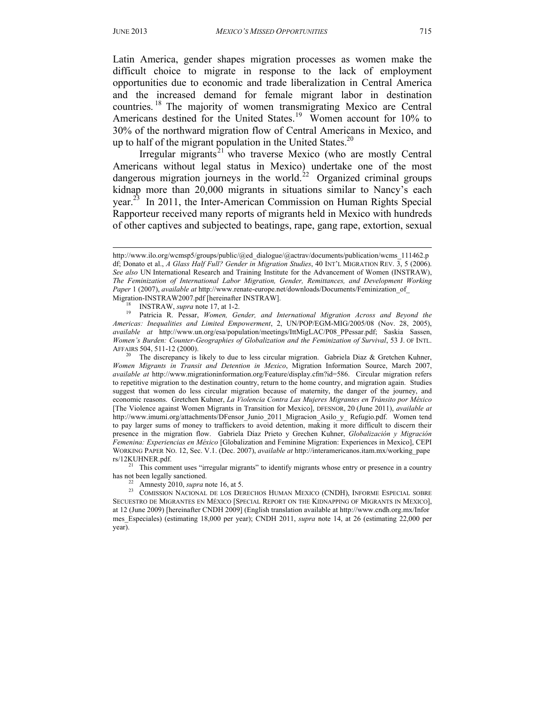-

Latin America, gender shapes migration processes as women make the difficult choice to migrate in response to the lack of employment opportunities due to economic and trade liberalization in Central America and the increased demand for female migrant labor in destination countries. 18 The majority of women transmigrating Mexico are Central Americans destined for the United States.<sup>19</sup> Women account for 10% to 30% of the northward migration flow of Central Americans in Mexico, and up to half of the migrant population in the United States. $20$ 

Irregular migrants<sup>21</sup> who traverse Mexico (who are mostly Central Americans without legal status in Mexico) undertake one of the most dangerous migration journeys in the world. $^{22}$  Organized criminal groups kidnap more than 20,000 migrants in situations similar to Nancy's each year.<sup>23</sup> In 2011, the Inter-American Commission on Human Rights Special Rapporteur received many reports of migrants held in Mexico with hundreds of other captives and subjected to beatings, rape, gang rape, extortion, sexual

 $rs/12KUHNER.pdf$ .<br><sup>21</sup> This comment uses "irregular migrants" to identify migrants whose entry or presence in a country

http://www.ilo.org/wcmsp5/groups/public/@ed\_dialogue/@actrav/documents/publication/wcms\_111462.p df; Donato et al., *A Glass Half Full? Gender in Migration Studies*, 40 INT'L MIGRATION REV. 3, 5 (2006). *See also* UN International Research and Training Institute for the Advancement of Women (INSTRAW), *The Feminization of International Labor Migration, Gender, Remittances, and Development Working*  Paper 1 (2007), *available at* http://www.renate-europe.net/downloads/Documents/Feminization\_of

Migration-INSTRAW2007.pdf [hereinafter INSTRAW].<br><sup>18</sup> INSTRAW, *supra* note 17, at 1-2.<br><sup>19</sup> Patricia R. Pessar, *Women, Gender, and International Migration Across and Beyond the Americas: Inequalities and Limited Empowerment*, 2, UN/POP/EGM-MIG/2005/08 (Nov. 28, 2005), *available at* http://www.un.org/esa/population/meetings/IttMigLAC/P08\_PPessar.pdf; Saskia Sassen, *Women's Burden: Counter-Geographies of Globalization and the Feminization of Survival*, 53 J. OF INTL.

AFFAIRS 504, 511-12 (2000).<br><sup>20</sup> The discrepancy is likely to due to less circular migration. Gabriela Diaz & Gretchen Kuhner, *Women Migrants in Transit and Detention in Mexico*, Migration Information Source, March 2007, *available at* http://www.migrationinformation.org/Feature/display.cfm?id=586. Circular migration refers to repetitive migration to the destination country, return to the home country, and migration again. Studies suggest that women do less circular migration because of maternity, the danger of the journey, and economic reasons. Gretchen Kuhner, *La Violencia Contra Las Mujeres Migrantes en Tránsito por México*  [The Violence against Women Migrants in Transition for Mexico], DFESNOR, 20 (June 2011), *available at*  http://www.imumi.org/attachments/DFensor\_Junio\_2011\_Migracion\_Asilo\_y\_ Refugio.pdf. Women tend to pay larger sums of money to traffickers to avoid detention, making it more difficult to discern their presence in the migration flow. Gabriela Díaz Prieto y Grechen Kuhner, *Globalización y Migración Femenina: Experiencias en México* [Globalization and Feminine Migration: Experiences in Mexico], CEPI WORKING PAPER NO. 12, Sec. V.1. (Dec. 2007), *available at* http://interamericanos.itam.mx/working\_pape

has not been legally sanctioned.<br><sup>22</sup> Amnesty 2010, *supra* note 16, at 5.<br><sup>23</sup> COMISSION NACIONAL DE LOS DERECHOS HUMAN MEXICO (CNDH), INFORME ESPECIAL SOBRE SECUESTRO DE MIGRANTES EN MÉXICO [SPECIAL REPORT ON THE KIDNAPPING OF MIGRANTS IN MEXICO], at 12 (June 2009) [hereinafter CNDH 2009] (English translation available at http://www.cndh.org.mx/Infor mes\_Especiales) (estimating 18,000 per year); CNDH 2011, *supra* note 14, at 26 (estimating 22,000 per year).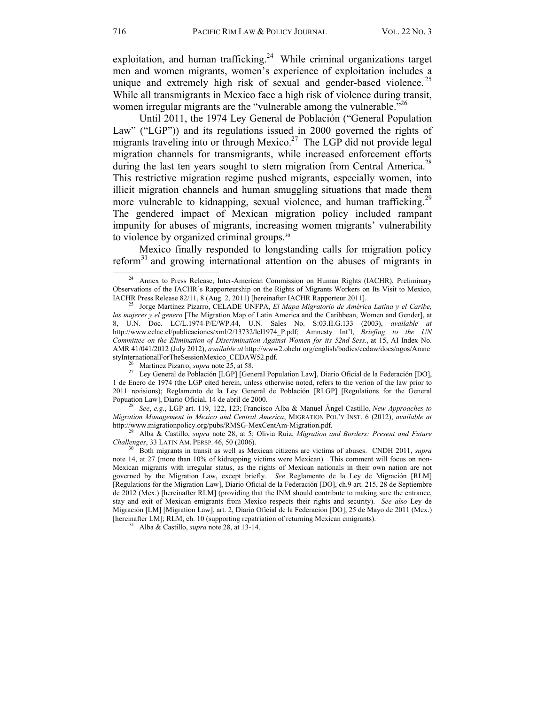exploitation, and human trafficking.<sup>24</sup> While criminal organizations target men and women migrants, women's experience of exploitation includes a unique and extremely high risk of sexual and gender-based violence.<sup>25</sup> While all transmigrants in Mexico face a high risk of violence during transit, women irregular migrants are the "vulnerable among the vulnerable."<sup>26</sup>

Until 2011, the 1974 Ley General de Población ("General Population Law" ("LGP")) and its regulations issued in 2000 governed the rights of migrants traveling into or through Mexico.<sup>27</sup> The LGP did not provide legal migration channels for transmigrants, while increased enforcement efforts during the last ten years sought to stem migration from Central America.<sup>28</sup> This restrictive migration regime pushed migrants, especially women, into illicit migration channels and human smuggling situations that made them more vulnerable to kidnapping, sexual violence, and human trafficking.<sup>29</sup> The gendered impact of Mexican migration policy included rampant impunity for abuses of migrants, increasing women migrants' vulnerability to violence by organized criminal groups.<sup>30</sup>

Mexico finally responded to longstanding calls for migration policy reform<sup>31</sup> and growing international attention on the abuses of migrants in  $\frac{24}{4}$  Annex to Press Release, Inter-American Commission on Human Rights (IACHR), Preliminary

<sup>26</sup> Martínez Pizarro, *supra* note 25, at 58. <br><sup>27</sup> Ley General de Población [LGP] [General Population Law], Diario Oficial de la Federación [DO], 1 de Enero de 1974 (the LGP cited herein, unless otherwise noted, refers to the verion of the law prior to 2011 revisions); Reglamento de la Ley General de Población [RLGP] [Regulations for the General Popuation Law], Diario Oficial, 14 de abril de 2000. 28 *See*, *e.g.*, LGP art. 119, 122, 123; Francisco Alba & Manuel Ángel Castillo, *New Approaches to* 

*Migration Management in Mexico and Central America*, MIGRATION POL'Y INST. 6 (2012), *available at* 

<sup>29</sup> Alba & Castillo, *supra* note 28, at 5; Olivia Ruiz, *Migration and Borders: Present and Future Challenges*, 33 LATIN AM. PERSP. 46, 50 (2006). 30 Both migrants in transit as well as Mexican citizens are victims of abuses. CNDH 2011, *supra* 

note 14, at 27 (more than 10% of kidnapping victims were Mexican). This comment will focus on non-Mexican migrants with irregular status, as the rights of Mexican nationals in their own nation are not governed by the Migration Law, except briefly. *See* Reglamento de la Ley de Migración [RLM] [Regulations for the Migration Law], Diario Oficial de la Federación [DO], ch.9 art. 215, 28 de Septiembre de 2012 (Mex.) [hereinafter RLM] (providing that the INM should contribute to making sure the entrance, stay and exit of Mexican emigrants from Mexico respects their rights and security). *See also* Ley de Migración [LM] [Migration Law], art. 2, Diario Oficial de la Federación [DO], 25 de Mayo de 2011 (Mex.) [hereinafter LM]; RLM, ch. 10 (supporting repatriation of returning Mexican emigrants). 31 Alba & Castillo, *supra* note 28, at 13-14.

Observations of the IACHR's Rapporteurship on the Rights of Migrants Workers on Its Visit to Mexico, IACHR Press Release 82/11, 8 (Aug. 2, 2011) [hereinafter IACHR Rapporteur 2011].

<sup>&</sup>lt;sup>25</sup> Jorge Martínez Pizarro, CELADE UNFPA, *El Mapa Migratorio de América Latina y el Caribe*, *las mujeres y el genero* [The Migration Map of Latin America and the Caribbean, Women and Gender], at 8, U.N. Doc. LC/L.1974-P/E/WP.44, U.N. Sales No. S:03.II.G.133 (2003), *available at*  http://www.eclac.cl/publicaciones/xml/2/13732/lcl1974\_P.pdf; Amnesty Int'l, *Briefing to the UN Committee on the Elimination of Discrimination Against Women for its 52nd Sess.*, at 15, AI Index No. AMR 41/041/2012 (July 2012), *available at* http://www2.ohchr.org/english/bodies/cedaw/docs/ngos/Amne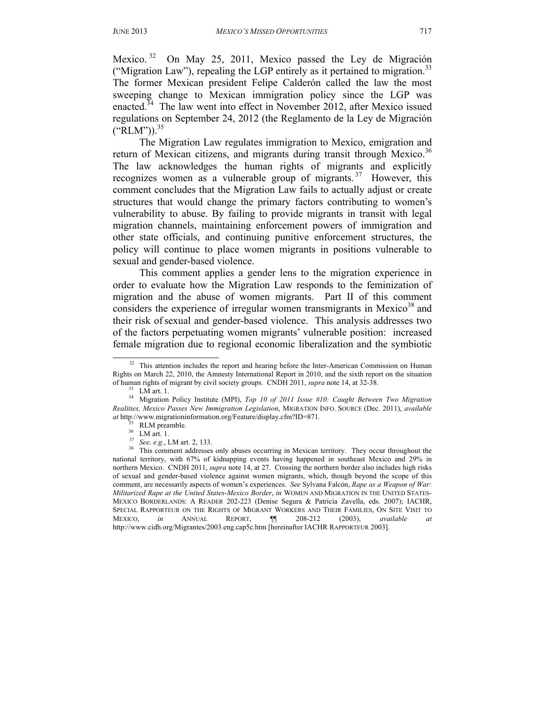Mexico.<sup>32</sup> On May 25, 2011, Mexico passed the Ley de Migración ("Migration Law"), repealing the LGP entirely as it pertained to migration.<sup>33</sup> The former Mexican president Felipe Calderón called the law the most sweeping change to Mexican immigration policy since the LGP was enacted.<sup>34</sup> The law went into effect in November 2012, after Mexico issued regulations on September 24, 2012 (the Reglamento de la Ley de Migración  $("RLM")$ .<sup>35</sup>

The Migration Law regulates immigration to Mexico, emigration and return of Mexican citizens, and migrants during transit through Mexico.<sup>36</sup> The law acknowledges the human rights of migrants and explicitly recognizes women as a vulnerable group of migrants.<sup>37</sup> However, this comment concludes that the Migration Law fails to actually adjust or create structures that would change the primary factors contributing to women's vulnerability to abuse. By failing to provide migrants in transit with legal migration channels, maintaining enforcement powers of immigration and other state officials, and continuing punitive enforcement structures, the policy will continue to place women migrants in positions vulnerable to sexual and gender-based violence.

This comment applies a gender lens to the migration experience in order to evaluate how the Migration Law responds to the feminization of migration and the abuse of women migrants. Part II of this comment considers the experience of irregular women transmigrants in Mexico<sup>38</sup> and their risk ofsexual and gender-based violence. This analysis addresses two of the factors perpetuating women migrants' vulnerable position: increased female migration due to regional economic liberalization and the symbiotic

<sup>&</sup>lt;sup>32</sup> This attention includes the report and hearing before the Inter-American Commission on Human Rights on March 22, 2010, the Amnesty International Report in 2010, and the sixth report on the situation of human rights of migrant by civil society groups. CNDH 2011, *supra* note 14, at 32-38. of human rights of migrant by civil society groups. CNDH 2011, *supra* note 14, at 32-38. LM art. 1.

<sup>34</sup> Migration Policy Institute (MPI), *Top 10 of 2011 Issue #10: Caught Between Two Migration Realities, Mexico Passes New Immigration Legislation*, MIGRATION INFO. SOURCE (Dec. 2011), *available at* http://www.migrationinformation.org/Feature/display.cfm?ID=871*.* 35 RLM preamble.

 $rac{36}{37}$  LM art. 1.<br> $frac{37}{36}$  See, e.g., LM art. 2, 133.

<sup>&</sup>lt;sup>38</sup> This comment addresses only abuses occurring in Mexican territory. They occur throughout the national territory, with 67% of kidnapping events having happened in southeast Mexico and 29% in northern Mexico. CNDH 2011, *supra* note 14, at 27. Crossing the northern border also includes high risks of sexual and gender-based violence against women migrants, which, though beyond the scope of this comment, are necessarily aspects of women's experiences. *See* Sylvana Falcón, *Rape as a Weapon of War: Militarized Rape at the United States-Mexico Border*, *in* WOMEN AND MIGRATION IN THE UNITED STATES-MEXICO BORDERLANDS: A READER 202-223 (Denise Segura & Patricia Zavella, eds. 2007); IACHR, SPECIAL RAPPORTEUR ON THE RIGHTS OF MIGRANT WORKERS AND THEIR FAMILIES, ON SITE VISIT TO MEXICO, *in* ANNUAL REPORT, ¶¶ 208-212 (2003), *available at* http://www.cidh.org/Migrantes/2003.eng.cap5c.htm [hereinafter IACHR RAPPORTEUR 2003].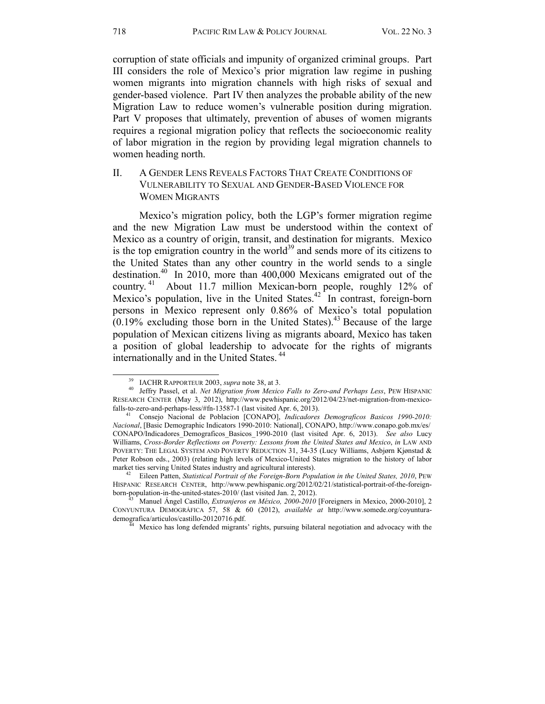corruption of state officials and impunity of organized criminal groups. Part III considers the role of Mexico's prior migration law regime in pushing women migrants into migration channels with high risks of sexual and gender-based violence. Part IV then analyzes the probable ability of the new Migration Law to reduce women's vulnerable position during migration. Part V proposes that ultimately, prevention of abuses of women migrants requires a regional migration policy that reflects the socioeconomic reality of labor migration in the region by providing legal migration channels to women heading north.

# II. A GENDER LENS REVEALS FACTORS THAT CREATE CONDITIONS OF VULNERABILITY TO SEXUAL AND GENDER-BASED VIOLENCE FOR WOMEN MIGRANTS

Mexico's migration policy, both the LGP's former migration regime and the new Migration Law must be understood within the context of Mexico as a country of origin, transit, and destination for migrants. Mexico is the top emigration country in the world<sup>39</sup> and sends more of its citizens to the United States than any other country in the world sends to a single destination.40 In 2010, more than 400,000 Mexicans emigrated out of the country. 41 About 11.7 million Mexican-born people, roughly 12% of Mexico's population, live in the United States. $42$  In contrast, foreign-born persons in Mexico represent only 0.86% of Mexico's total population  $(0.19\%$  excluding those born in the United States).<sup>43</sup> Because of the large population of Mexican citizens living as migrants aboard, Mexico has taken a position of global leadership to advocate for the rights of migrants internationally and in the United States. 44

<sup>&</sup>lt;sup>39</sup> IACHR RAPPORTEUR 2003, *supra* note 38, at 3.<br><sup>40</sup> Jeffry Passel, et al. *Net Migration from Mexico Falls to Zero-and Perhaps Less*, PEW HISPANIC RESEARCH CENTER (May 3, 2012), http://www.pewhispanic.org/2012/04/23/net-migration-from-mexico-

falls-to-zero-and-perhaps-less/#fn-13587-1 (last visited Apr. 6, 2013). 41 Consejo Nacional de Poblacion [CONAPO], *Indicadores Demograficos Basicos 1990-2010: Nacional*, [Basic Demographic Indicators 1990-2010: National], CONAPO, http://www.conapo.gob.mx/es/ CONAPO/Indicadores\_Demograficos\_Basicos\_1990-2010 (last visited Apr. 6, 2013). *See also* Lucy Williams, *Cross-Border Reflections on Poverty: Lessons from the United States and Mexico*, *in* LAW AND POVERTY: THE LEGAL SYSTEM AND POVERTY REDUCTION 31, 34-35 (Lucy Williams, Asbjørn Kjønstad & Peter Robson eds., 2003) (relating high levels of Mexico-United States migration to the history of labor market ties serving United States industry and agricultural interests).<br><sup>42</sup> Eileen Patten, *Statistical Portrait of the Foreign-Born Population in the United States, 2010*, PEW

HISPANIC RESEARCH CENTER, http://www.pewhispanic.org/2012/02/21/statistical-portrait-of-the-foreign-<br>born-population-in-the-united-states-2010/ (last visited Jan. 2, 2012).

born-population-in-the-united-state Jan. 2010-2010 [Foreigners in Mexico, 2000-2010], 2 CONYUNTURA DEMOGRÁFICA 57, 58 & 60 (2012), *available at* http://www.somede.org/coyunturademografica/articulos/castillo-20120716.pdf.<br><sup>44</sup> Mexico has long defended migrants' rights, pursuing bilateral negotiation and advocacy with the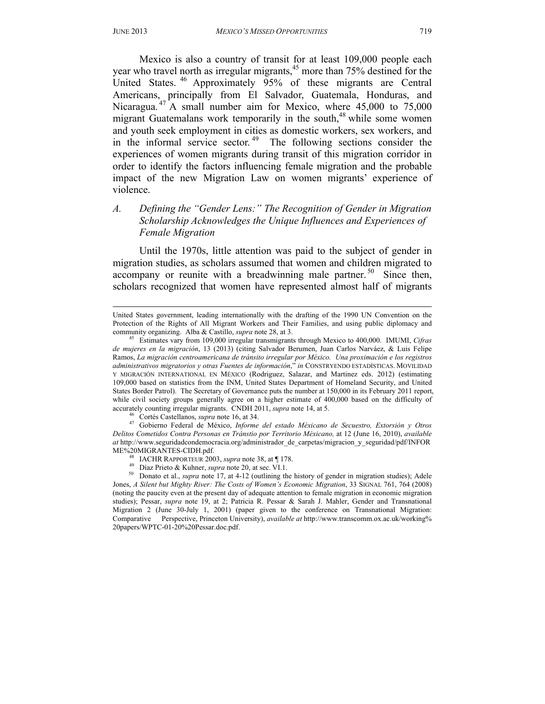-

Mexico is also a country of transit for at least 109,000 people each year who travel north as irregular migrants,  $45$  more than 75% destined for the United States. 46 Approximately 95% of these migrants are Central Americans, principally from El Salvador, Guatemala, Honduras, and Nicaragua.<sup>47</sup> A small number aim for Mexico, where 45,000 to 75,000 migrant Guatemalans work temporarily in the south, $48$  while some women and youth seek employment in cities as domestic workers, sex workers, and in the informal service sector.<sup>49</sup> The following sections consider the experiences of women migrants during transit of this migration corridor in order to identify the factors influencing female migration and the probable impact of the new Migration Law on women migrants' experience of violence.

# *A. Defining the "Gender Lens:" The Recognition of Gender in Migration Scholarship Acknowledges the Unique Influences and Experiences of Female Migration*

Until the 1970s, little attention was paid to the subject of gender in migration studies, as scholars assumed that women and children migrated to accompany or reunite with a breadwinning male partner.<sup>50</sup> Since then, scholars recognized that women have represented almost half of migrants

accurately counting irregular migrants. CNDH 2011, supra note 14, at 5.<br><sup>46</sup> Cortés Castellanos, supra note 16, at 34.<br><sup>47</sup> Gobierno Federal de México, *Informe del estado Méxicano de Secuestro, Extorsión y Otros Delitos Cometidos Contra Personas en Tránstio por Territorio Méxicano,* at 12 (June 16, 2010), *available at* http://www.seguridadcondemocracia.org/administrador\_de\_carpetas/migracion\_y\_seguridad/pdf/INFOR

- 
- 

<sup>48</sup> IACHR RAPPORTEUR 2003, *supra* note 38, at  $\P$  178.<br><sup>49</sup> Díaz Prieto & Kuhner, *supra* note 20, at sec. VI.1.<br><sup>50</sup> Donato et al., *supra* note 17, at 4-12 (outlining the history of gender in migration studies); Adele Jones, *A Silent but Mighty River: The Costs of Women's Economic Migration*, 33 SIGNAL 761, 764 (2008) (noting the paucity even at the present day of adequate attention to female migration in economic migration studies); Pessar, *supra* note 19, at 2; Patricia R. Pessar & Sarah J. Mahler, Gender and Transnational Migration 2 (June 30-July 1, 2001) (paper given to the conference on Transnational Migration: Comparative Perspective, Princeton University), *available at* http://www.transcomm.ox.ac.uk/working% 20papers/WPTC-01-20%20Pessar.doc.pdf.

United States government, leading internationally with the drafting of the 1990 UN Convention on the Protection of the Rights of All Migrant Workers and Their Families, and using public diplomacy and community organizing. Alba & Castillo, *supra* note 28, at 3.<br><sup>45</sup> Estimates vary from 109,000 irregular transmigrants through Mexico to 400,000. IMUMI, *Cifras* 

*de mujeres en la migración*, 13 (2013) (citing Salvador Berumen, Juan Carlos Narváez, & Luis Felipe Ramos, *La migración centroamericana de tránsito irregular por México. Una proximación e los registros administrativos migratorios y otras Fuentes de información*," *in* CONSTRYENDO ESTADÍSTICAS. MOVILIDAD Y MIGRACIÓN INTERNATIONAL EN MÉXICO (Rodriguez, Salazar, and Martinez eds. 2012) (estimating 109,000 based on statistics from the INM, United States Department of Homeland Security, and United States Border Patrol). The Secretary of Governance puts the number at 150,000 in its February 2011 report, while civil society groups generally agree on a higher estimate of 400,000 based on the difficulty of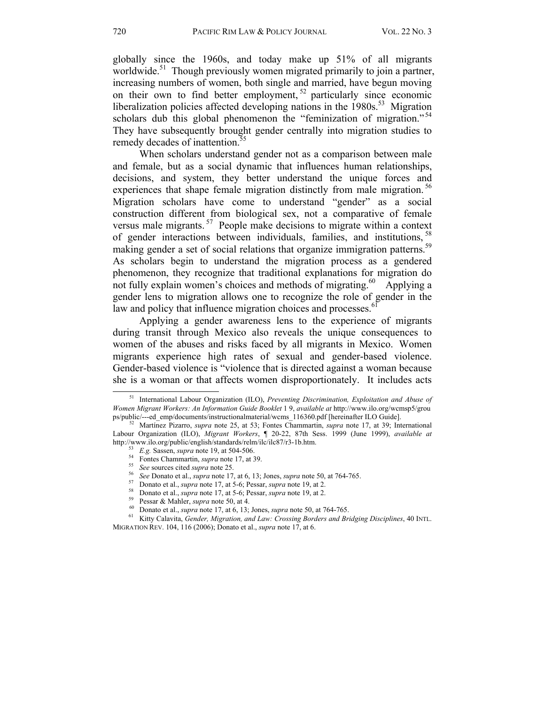globally since the 1960s, and today make up 51% of all migrants worldwide.<sup>51</sup> Though previously women migrated primarily to join a partner, increasing numbers of women, both single and married, have begun moving on their own to find better employment,<sup>52</sup> particularly since economic liberalization policies affected developing nations in the  $1980s$ <sup>53</sup> Migration scholars dub this global phenomenon the "feminization of migration."<sup>54</sup> They have subsequently brought gender centrally into migration studies to remedy decades of inattention.<sup>5</sup>

When scholars understand gender not as a comparison between male and female, but as a social dynamic that influences human relationships, decisions, and system, they better understand the unique forces and experiences that shape female migration distinctly from male migration.<sup>56</sup> Migration scholars have come to understand "gender" as a social construction different from biological sex, not a comparative of female versus male migrants. 57 People make decisions to migrate within a context of gender interactions between individuals, families, and institutions, <sup>5</sup> making gender a set of social relations that organize immigration patterns.<sup>59</sup> As scholars begin to understand the migration process as a gendered phenomenon, they recognize that traditional explanations for migration do not fully explain women's choices and methods of migrating.<sup>60</sup> Applying a gender lens to migration allows one to recognize the role of gender in the law and policy that influence migration choices and processes.<sup>61</sup>

 Applying a gender awareness lens to the experience of migrants during transit through Mexico also reveals the unique consequences to women of the abuses and risks faced by all migrants in Mexico. Women migrants experience high rates of sexual and gender-based violence. Gender-based violence is "violence that is directed against a woman because she is a woman or that affects women disproportionately. It includes acts <sup>51</sup> International Labour Organization (ILO), *Preventing Discrimination, Exploitation and Abuse of* 

*Women Migrant Workers: An Information Guide Booklet* 1 9, *available at http://www.ilo.org/wcmsp5/groups/public/---ed emp/documents/instructionalmaterial/wcms* 116360.pdf [hereinafter ILO Guide].

Martínez Pizarro, *supra* note 25, at 53; Fontes Chammartin, *supra* note 17, at 39; International Labour Organization (ILO), *Migrant Workers*, ¶ 20-22, 87th Sess. 1999 (June 1999), *available at* 

<sup>&</sup>lt;sup>53</sup> *E.g.* Sassen, *supra* note 19, at 504-506.<br>
<sup>54</sup> Fontes Chammartin, *supra* note 17, at 39.<br>
<sup>55</sup> *See* sources cited *supra* note 25.<br>
<sup>56</sup> *See* Donato et al., *supra* note 17, at 6, 13; Jones, *supra* note 50, at MIGRATION REV. 104, 116 (2006); Donato et al., *supra* note 17, at 6.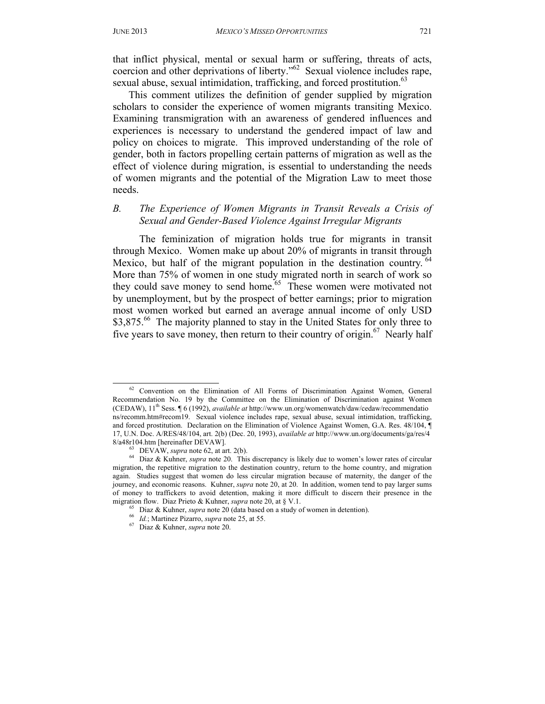that inflict physical, mental or sexual harm or suffering, threats of acts, coercion and other deprivations of liberty." $62$  Sexual violence includes rape, sexual abuse, sexual intimidation, trafficking, and forced prostitution.<sup>63</sup>

This comment utilizes the definition of gender supplied by migration scholars to consider the experience of women migrants transiting Mexico. Examining transmigration with an awareness of gendered influences and experiences is necessary to understand the gendered impact of law and policy on choices to migrate. This improved understanding of the role of gender, both in factors propelling certain patterns of migration as well as the effect of violence during migration, is essential to understanding the needs of women migrants and the potential of the Migration Law to meet those needs.

#### *B. The Experience of Women Migrants in Transit Reveals a Crisis of Sexual and Gender-Based Violence Against Irregular Migrants*

The feminization of migration holds true for migrants in transit through Mexico. Women make up about 20% of migrants in transit through Mexico, but half of the migrant population in the destination country.<sup> $6$ </sup> More than 75% of women in one study migrated north in search of work so they could save money to send home.<sup>65</sup> These women were motivated not by unemployment, but by the prospect of better earnings; prior to migration most women worked but earned an average annual income of only USD \$3,875.<sup>66</sup> The majority planned to stay in the United States for only three to five years to save money, then return to their country of origin.<sup>67</sup> Nearly half

<sup>&</sup>lt;sup>62</sup> Convention on the Elimination of All Forms of Discrimination Against Women, General Recommendation No. 19 by the Committee on the Elimination of Discrimination against Women (CEDAW), 11th Sess. ¶ 6 (1992), *available at* http://www.un.org/womenwatch/daw/cedaw/recommendatio ns/recomm.htm#recom19. Sexual violence includes rape, sexual abuse, sexual intimidation, trafficking, and forced prostitution. Declaration on the Elimination of Violence Against Women, G.A. Res. 48/104, ¶ 17, U.N. Doc. A/RES/48/104, art. 2(b) (Dec. 20, 1993), *available at* http://www.un.org/documents/ga/res/4

<sup>8/</sup>a48r104.htm [hereinafter DEVAW].<br><sup>63</sup> DEVAW, *supra* note 62, at art. 2(b).<br><sup>64</sup> Diaz & Kuhner, *supra* note 20. This discrepancy is likely due to women's lower rates of circular migration, the repetitive migration to the destination country, return to the home country, and migration again. Studies suggest that women do less circular migration because of maternity, the danger of the journey, and economic reasons. Kuhner, *supra* note 20, at 20. In addition, women tend to pay larger sums of money to traffickers to avoid detention, making it more difficult to discern their presence in the migration flow. Diaz Prieto & Kuhner, *supra* note 20, at § V.1.<br><sup>65</sup> Diaz & Kuhner, *supra* note 20 (data based on a study of women in detention).<br><sup>66</sup> *Id*.; Martinez Pizarro, *supra* note 25, at 55.<br><sup>67</sup> Diaz & Kuhner,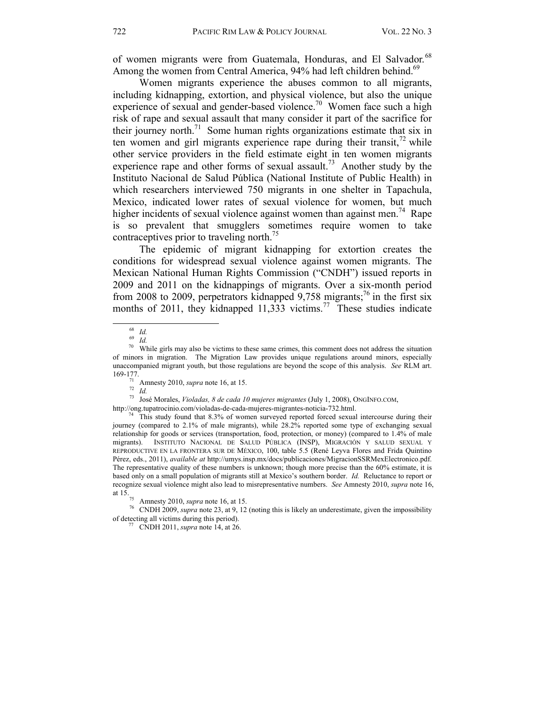of women migrants were from Guatemala, Honduras, and El Salvador.<sup>68</sup> Among the women from Central America, 94% had left children behind.<sup>69</sup>

 Women migrants experience the abuses common to all migrants, including kidnapping, extortion, and physical violence, but also the unique experience of sexual and gender-based violence.<sup>70</sup> Women face such a high risk of rape and sexual assault that many consider it part of the sacrifice for their journey north.<sup>71</sup> Some human rights organizations estimate that six in ten women and girl migrants experience rape during their transit, $^{72}$  while other service providers in the field estimate eight in ten women migrants experience rape and other forms of sexual assault.<sup>73</sup> Another study by the Instituto Nacional de Salud Pública (National Institute of Public Health) in which researchers interviewed 750 migrants in one shelter in Tapachula, Mexico, indicated lower rates of sexual violence for women, but much higher incidents of sexual violence against women than against men.<sup>74</sup> Rape is so prevalent that smugglers sometimes require women to take contraceptives prior to traveling north.<sup>75</sup>

 The epidemic of migrant kidnapping for extortion creates the conditions for widespread sexual violence against women migrants. The Mexican National Human Rights Commission ("CNDH") issued reports in 2009 and 2011 on the kidnappings of migrants. Over a six-month period from 2008 to 2009, perpetrators kidnapped  $9,758$  migrants;<sup>76</sup> in the first six months of 2011, they kidnapped  $11,333$  victims.<sup>77</sup> These studies indicate

169-177. 71 Amnesty 2010, *supra* note 16, at 15. 72 *Id.* 73 José Morales, *Violadas, 8 de cada 10 mujeres migrantes* (July 1, 2008), ONGINFO.COM,

 $^{68}$  *Id.*<br><sup>69</sup> *Id.* While girls may also be victims to these same crimes, this comment does not address the situation <sup>70</sup> of minors in migration. The Migration Law provides unique regulations around minors, especially unaccompanied migrant youth, but those regulations are beyond the scope of this analysis. *See* RLM art.

http://ong.tupatrocinio.com/violadas-de-cada-mujeres-migrantes-noticia-732.html.<br><sup>74</sup> This study found that 8.3% of women surveyed reported forced sexual intercourse during their journey (compared to 2.1% of male migrants), while 28.2% reported some type of exchanging sexual relationship for goods or services (transportation, food, protection, or money) (compared to 1.4% of male migrants). INSTITUTO NACIONAL DE SALUD PÚBLICA (INSP), MIGRACIÓN Y SALUD SEXUAL Y REPRODUCTIVE EN LA FRONTERA SUR DE MÉXICO, 100, table 5.5 (René Leyva Flores and Frida Quintino Pérez, eds., 2011), *available at* http://umys.insp.mx/docs/publicaciones/MigracionSSRMexElectronico.pdf. The representative quality of these numbers is unknown; though more precise than the 60% estimate, it is based only on a small population of migrants still at Mexico's southern border. *Id.* Reluctance to report or recognize sexual violence might also lead to misrepresentative numbers. *See* Amnesty 2010, *supra* note 16, at 15. 75 Amnesty 2010, *supra* note 16, at 15. 76 CNDH 2009, *supra* note 23, at 9, 12 (noting this is likely an underestimate, given the impossibility

of detecting all victims during this period). 77 CNDH 2011, *supra* note 14, at 26.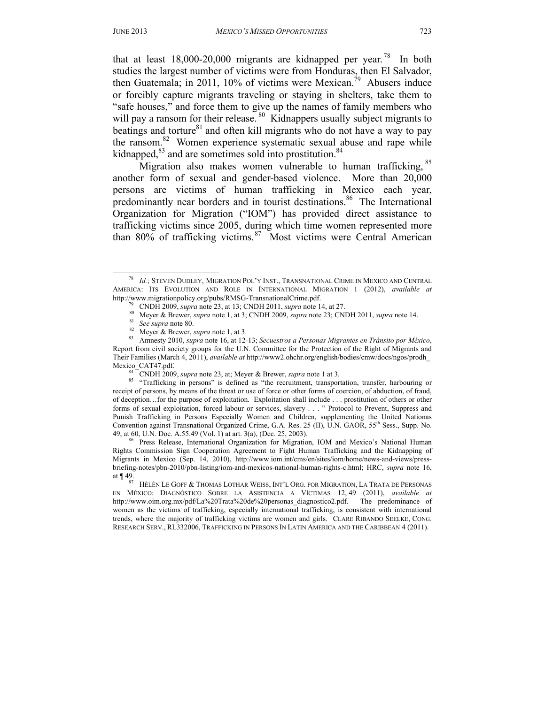that at least  $18,000-20,000$  migrants are kidnapped per year.<sup>78</sup> In both studies the largest number of victims were from Honduras, then El Salvador, then Guatemala; in 2011, 10% of victims were Mexican.<sup>79</sup> Abusers induce or forcibly capture migrants traveling or staying in shelters, take them to "safe houses," and force them to give up the names of family members who will pay a ransom for their release.<sup>80</sup> Kidnappers usually subject migrants to beatings and torture $81$  and often kill migrants who do not have a way to pay the ransom.<sup>82</sup> Women experience systematic sexual abuse and rape while kidnapped, $83$  and are sometimes sold into prostitution. $84$ 

Migration also makes women vulnerable to human trafficking, <sup>85</sup> another form of sexual and gender-based violence. More than 20,000 persons are victims of human trafficking in Mexico each year, predominantly near borders and in tourist destinations.<sup>86</sup> The International Organization for Migration ("IOM") has provided direct assistance to trafficking victims since 2005, during which time women represented more than 80% of trafficking victims.87 Most victims were Central American

 <sup>78</sup> *Id.*; STEVEN DUDLEY, MIGRATION POL'Y INST., TRANSNATIONAL CRIME IN MEXICO AND CENTRAL AMERICA: ITS EVOLUTION AND ROLE IN INTERNATIONAL MIGRATION 1 (2012), *available at* http://www.migrationpolicy.org/pubs/RMSG-TransnationalCrime.pdf.<br>
<sup>79</sup> CNDH 2009, *supra* note 23, at 13; CNDH 2011, *supra* note 14, at 27.<br>
<sup>80</sup> Meyer & Brewer, *supra* note 1, at 3; CNDH 2009, *supra* note 23; CNDH 201

Report from civil society groups for the U.N. Committee for the Protection of the Right of Migrants and Their Families (March 4, 2011), *available at* http://www2.ohchr.org/english/bodies/cmw/docs/ngos/prodh\_

<sup>&</sup>lt;sup>84</sup> CNDH 2009, *supra* note 23, at; Meyer & Brewer, *supra* note 1 at 3. <br><sup>85</sup> "Trafficking in persons" is defined as "the recruitment, transportation, transfer, harbouring or receipt of persons, by means of the threat or use of force or other forms of coercion, of abduction, of fraud, of deception…for the purpose of exploitation. Exploitation shall include . . . prostitution of others or other forms of sexual exploitation, forced labour or services, slavery . . . " Protocol to Prevent, Suppress and Punish Trafficking in Persons Especially Women and Children, supplementing the United Nationas Convention against Transnational Organized Crime, G.A. Res. 25 (II), U.N. GAOR, 55<sup>th</sup> Sess., Supp. No. 49, at 60, U.N. Doc. A.55.49 (Vol. 1) at art. 3(a), (Dec. 25, 2003).<br><sup>86</sup> Press Release, International Organization for Migration, IOM and Mexico's National Human

Rights Commission Sign Cooperation Agreement to Fight Human Trafficking and the Kidnapping of Migrants in Mexico (Sep. 14, 2010), http://www.iom.int/cms/en/sites/iom/home/news-and-views/pressbriefing-notes/pbn-2010/pbn-listing/iom-and-mexicos-national-human-rights-c.html; HRC, *supra* note 16, at ¶ 49.<br><sup>87</sup> HÉLÈN LE GOFF & THOMAS LOTHAR WEISS, INT'L ORG. FOR MIGRATION, LA TRATA DE PERSONAS

EN MÉXICO: DIAGNÓSTICO SOBRE LA ASISTENCIA A VÍCTIMAS 12, 49 (2011), *available at* http://www.oim.org.mx/pdf/La%20Trata%20de%20personas\_diagnostico2.pdf. The predominance of women as the victims of trafficking, especially international trafficking, is consistent with international trends, where the majority of trafficking victims are women and girls. CLARE RIBANDO SEELKE, CONG. RESEARCH SERV., RL332006, TRAFFICKING IN PERSONS IN LATIN AMERICA AND THE CARIBBEAN 4 (2011).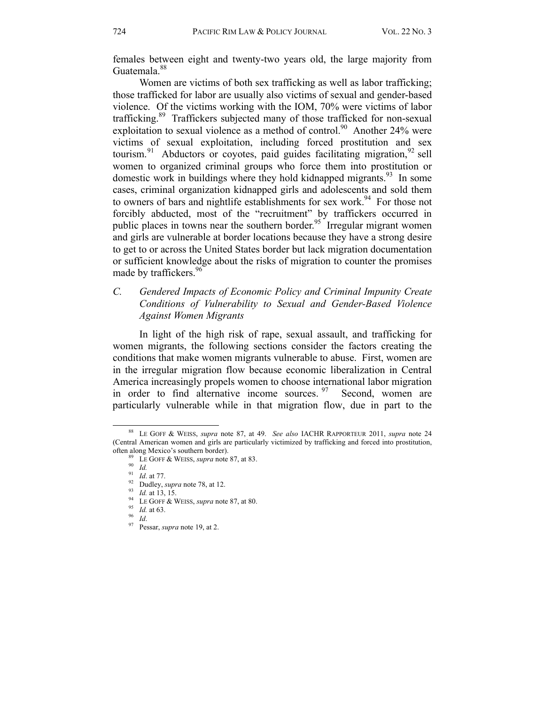females between eight and twenty-two years old, the large majority from Guatemala.<sup>88</sup>

Women are victims of both sex trafficking as well as labor trafficking; those trafficked for labor are usually also victims of sexual and gender-based violence. Of the victims working with the IOM, 70% were victims of labor trafficking.<sup>89</sup> Traffickers subjected many of those trafficked for non-sexual exploitation to sexual violence as a method of control.<sup>90</sup> Another 24% were victims of sexual exploitation, including forced prostitution and sex tourism.<sup>91</sup> Abductors or coyotes, paid guides facilitating migration, <sup>92</sup> sell women to organized criminal groups who force them into prostitution or domestic work in buildings where they hold kidnapped migrants.<sup>93</sup> In some cases, criminal organization kidnapped girls and adolescents and sold them to owners of bars and nightlife establishments for sex work.<sup>94</sup> For those not forcibly abducted, most of the "recruitment" by traffickers occurred in public places in towns near the southern border.<sup>95</sup> Irregular migrant women and girls are vulnerable at border locations because they have a strong desire to get to or across the United States border but lack migration documentation or sufficient knowledge about the risks of migration to counter the promises made by traffickers.<sup>96</sup>

#### *C. Gendered Impacts of Economic Policy and Criminal Impunity Create Conditions of Vulnerability to Sexual and Gender-Based Violence Against Women Migrants*

In light of the high risk of rape, sexual assault, and trafficking for women migrants, the following sections consider the factors creating the conditions that make women migrants vulnerable to abuse. First, women are in the irregular migration flow because economic liberalization in Central America increasingly propels women to choose international labor migration in order to find alternative income sources.  $97$  Second, women are particularly vulnerable while in that migration flow, due in part to the

 <sup>88</sup> LE GOFF & WEISS, *supra* note 87, at 49. *See also* IACHR RAPPORTEUR 2011, *supra* note 24 (Central American women and girls are particularly victimized by trafficking and forced into prostitution, often along Mexico's southern border).<br>
<sup>89</sup> LE GOFF & WEISS, *supra* note 87, at 83.<br>
<sup>91</sup> Id. at 77.<br>
<sup>22</sup> Dudley, *supra* note 78, at 12.<br>
<sup>93</sup> Id. at 13, 15.<br>
<sup>94</sup> LE GOFF & WEISS, *supra* note 87, at 80.<br>
<sup>95</sup> Id. at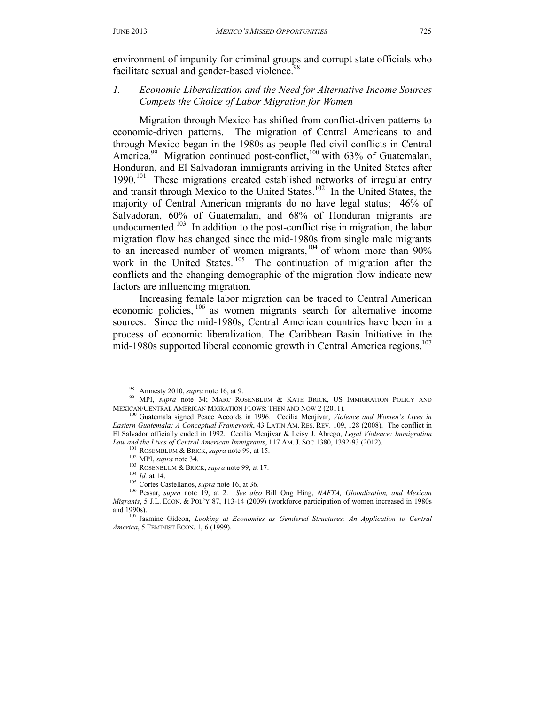environment of impunity for criminal groups and corrupt state officials who facilitate sexual and gender-based violence.<sup>98</sup>

# *1. Economic Liberalization and the Need for Alternative Income Sources Compels the Choice of Labor Migration for Women*

 Migration through Mexico has shifted from conflict-driven patterns to economic-driven patterns. The migration of Central Americans to and through Mexico began in the 1980s as people fled civil conflicts in Central America.<sup>99</sup> Migration continued post-conflict,<sup>100</sup> with 63% of Guatemalan, Honduran, and El Salvadoran immigrants arriving in the United States after 1990.<sup>101</sup> These migrations created established networks of irregular entry and transit through Mexico to the United States.<sup>102</sup> In the United States, the majority of Central American migrants do no have legal status; 46% of Salvadoran, 60% of Guatemalan, and 68% of Honduran migrants are undocumented.<sup>103</sup> In addition to the post-conflict rise in migration, the labor migration flow has changed since the mid-1980s from single male migrants to an increased number of women migrants,<sup>104</sup> of whom more than 90% work in the United States.<sup>105</sup> The continuation of migration after the conflicts and the changing demographic of the migration flow indicate new factors are influencing migration.

 Increasing female labor migration can be traced to Central American economic policies, 106 as women migrants search for alternative income sources. Since the mid-1980s, Central American countries have been in a process of economic liberalization. The Caribbean Basin Initiative in the mid-1980s supported liberal economic growth in Central America regions.<sup>107</sup>

<sup>&</sup>lt;sup>98</sup> Amnesty 2010, *supra* note 16, at 9.<br><sup>99</sup> MPI, *supra* note 34; MARC ROSENBLUM & KATE BRICK, US IMMIGRATION POLICY AND

MEXICAN/CENTRAL AMERICAN MIGRATION FLOWS: THEN AND NOW 2 (2011). 100 Guatemala signed Peace Accords in 1996. Cecilia Menjívar, *Violence and Women's Lives in Eastern Guatemala: A Conceptual Framework*, 43 LATIN AM. RES. REV. 109, 128 (2008). The conflict in El Salvador officially ended in 1992. Cecilia Menjívar & Leisy J. Abrego, *Legal Violence: Immigration*  Law and the Lives of Central American Immigrants, 117 AM. J. Soc.1380, 1392-93 (2012).<br>
<sup>101</sup> ROSEMBLUM & BRICK, supra note 99, at 15.<br>
<sup>102</sup> MPI, supra note 34.<br>
<sup>103</sup> ROSENBLUM & BRICK, supra note 99, at 17.<br>
<sup>104</sup> Id.

*Migrants*, 5 J.L. ECON. & POL'Y 87, 113-14 (2009) (workforce participation of women increased in 1980s and 1990s).

<sup>&</sup>lt;sup>107</sup> Jasmine Gideon, *Looking at Economies as Gendered Structures: An Application to Central America*, 5 FEMINIST ECON. 1, 6 (1999).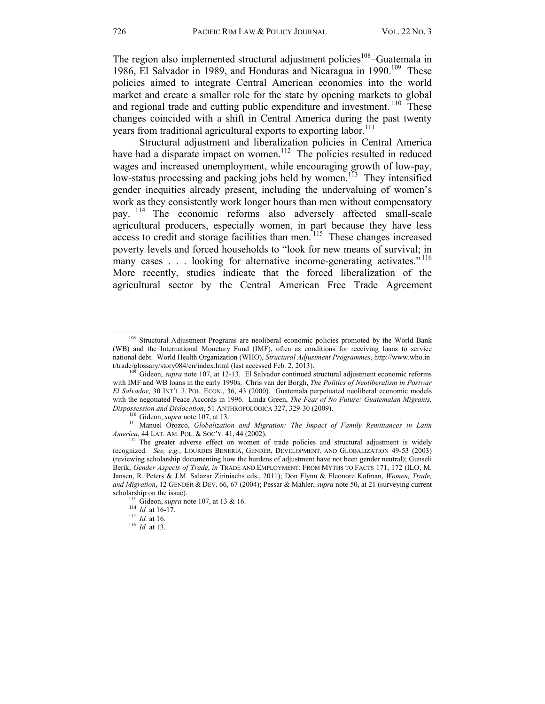The region also implemented structural adjustment policies<sup>108</sup>–Guatemala in 1986, El Salvador in 1989, and Honduras and Nicaragua in 1990.<sup>109</sup> These policies aimed to integrate Central American economies into the world market and create a smaller role for the state by opening markets to global and regional trade and cutting public expenditure and investment.<sup>110</sup> These changes coincided with a shift in Central America during the past twenty years from traditional agricultural exports to exporting labor.<sup>111</sup>

 Structural adjustment and liberalization policies in Central America have had a disparate impact on women.<sup>112</sup> The policies resulted in reduced wages and increased unemployment, while encouraging growth of low-pay, low-status processing and packing jobs held by women.<sup>113</sup> They intensified gender inequities already present, including the undervaluing of women's work as they consistently work longer hours than men without compensatory pay. 114 The economic reforms also adversely affected small-scale agricultural producers, especially women, in part because they have less access to credit and storage facilities than men.<sup>115</sup> These changes increased poverty levels and forced households to "look for new means of survival; in many cases  $\ldots$  looking for alternative income-generating activates."<sup>116</sup> More recently, studies indicate that the forced liberalization of the agricultural sector by the Central American Free Trade Agreement

<sup>&</sup>lt;sup>108</sup> Structural Adjustment Programs are neoliberal economic policies promoted by the World Bank (WB) and the International Monetary Fund (IMF), often as conditions for receiving loans to service national debt. World Health Organization (WHO), *Structural Adjustment Programmes*, http://www.who.in t/trade/glossary/story084/en/index.html (last accessed Feb. 2, 2013). 109 Gideon, *supra* note 107, at 12-13. El Salvador continued structural adjustment economic reforms

with IMF and WB loans in the early 1990s. Chris van der Borgh, *The Politics of Neoliberalism in Postwar El Salvador*, 30 INT'L J. POL. ECON., 36, 43 (2000). Guatemala perpetuated neoliberal economic models with the negotiated Peace Accords in 1996. Linda Green, *The Fear of No Future: Guatemalan Migrants,* 

*Dispossession and Dislocation*, 51 ANTHROPOLOGICA 327, 329-30 (2009).<br><sup>110</sup> Gideon, *supra* note 107, at 13.<br><sup>111</sup> Manuel Orozco, *Globalization and Migration: The Impact of Family Remittances in Latin* 

*America*, 44 LAT. AM. POL. & SOC'Y. 41, 44 (2002).<br><sup>112</sup> The greater adverse effect on women of trade policies and structural adjustment is widely recognized. *See, e.g.*, LOURDES BENERÍA, GENDER, DEVELOPMENT, AND GLOBALIZATION 49-53 (2003) (reviewing scholarship documenting how the burdens of adjustment have not been gender neutral); Gunseli Berik, *Gender Aspects of Trade*, *in* TRADE AND EMPLOYMENT: FROM MYTHS TO FACTS 171, 172 (ILO, M. Jansen, R. Peters & J.M. Salazar Ziriniachs eds., 2011); Don Flynn & Eleonore Kofman, *Women, Trade, and Migration*, 12 GENDER & DEV. 66, 67 (2004); Pessar & Mahler, *supra* note 50, at 21 (surveying current scholarship on the issue).<br><sup>113</sup> Gideon, *supra* note 107, at 13 & 16.<br><sup>114</sup> *Id.* at 16-17.<br><sup>115</sup> *Id.* at 16.<br>*Ifd.* at 13.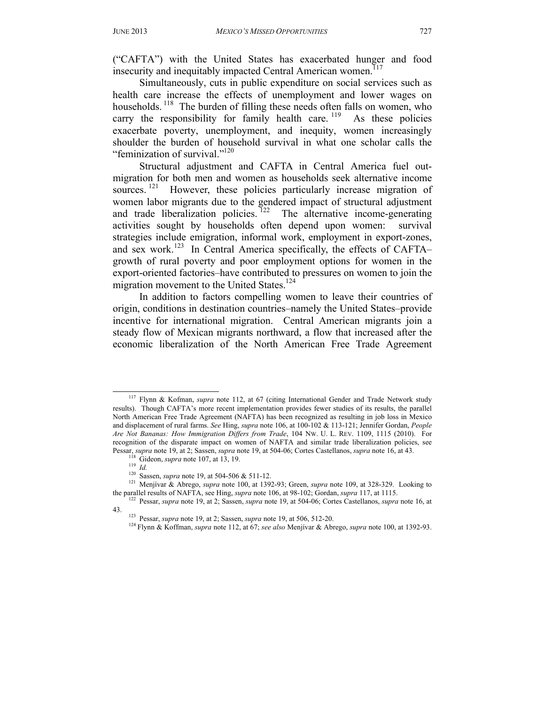("CAFTA") with the United States has exacerbated hunger and food insecurity and inequitably impacted Central American women.<sup>117</sup>

Simultaneously, cuts in public expenditure on social services such as health care increase the effects of unemployment and lower wages on households.<sup>118</sup> The burden of filling these needs often falls on women, who carry the responsibility for family health care.  $119$  As these policies exacerbate poverty, unemployment, and inequity, women increasingly shoulder the burden of household survival in what one scholar calls the "feminization of survival."<sup>120</sup>

Structural adjustment and CAFTA in Central America fuel outmigration for both men and women as households seek alternative income sources.<sup>121</sup> However, these policies particularly increase migration of women labor migrants due to the gendered impact of structural adjustment and trade liberalization policies.  $122$  The alternative income-generating activities sought by households often depend upon women: survival strategies include emigration, informal work, employment in export-zones, and sex work.123 In Central America specifically, the effects of CAFTA– growth of rural poverty and poor employment options for women in the export-oriented factories–have contributed to pressures on women to join the migration movement to the United States.<sup>124</sup>

In addition to factors compelling women to leave their countries of origin, conditions in destination countries–namely the United States–provide incentive for international migration. Central American migrants join a steady flow of Mexican migrants northward, a flow that increased after the economic liberalization of the North American Free Trade Agreement

 <sup>117</sup> Flynn & Kofman, *supra* note 112, at 67 (citing International Gender and Trade Network study results). Though CAFTA's more recent implementation provides fewer studies of its results, the parallel North American Free Trade Agreement (NAFTA) has been recognized as resulting in job loss in Mexico and displacement of rural farms. *See* Hing, *supra* note 106, at 100-102 & 113-121; Jennifer Gordan, *People Are Not Bananas: How Immigration Differs from Trade*, 104 NW. U. L. REV. 1109, 1115 (2010). For recognition of the disparate impact on women of NAFTA and similar trade liberalization policies, see

Pessar, *supra* note 19, at 2; Sassen, *supra* note 19, at 504-06; Cortes Castellanos, *supra* note 16, at 43.<br><sup>118</sup> Gideon, *supra* note 107, at 13, 19.<br><sup>119</sup> Id.<br><sup>120</sup> Sassen, *supra* note 19, at 504-506 & 511-12.<br><sup>121</sup>

<sup>&</sup>lt;sup>122</sup> Pessar, *supra* note 19, at 2; Sassen, *supra* note 19, at 504-06; Cortes Castellanos, *supra* note 16, at

<sup>43. 123</sup> Pessar, *supra* note 19, at 2; Sassen, *supra* note 19, at 506, 512-20. 124 Flynn & Koffman, *supra* note 112, at 67; *see also* Menjívar & Abrego, *supra* note 100, at 1392-93.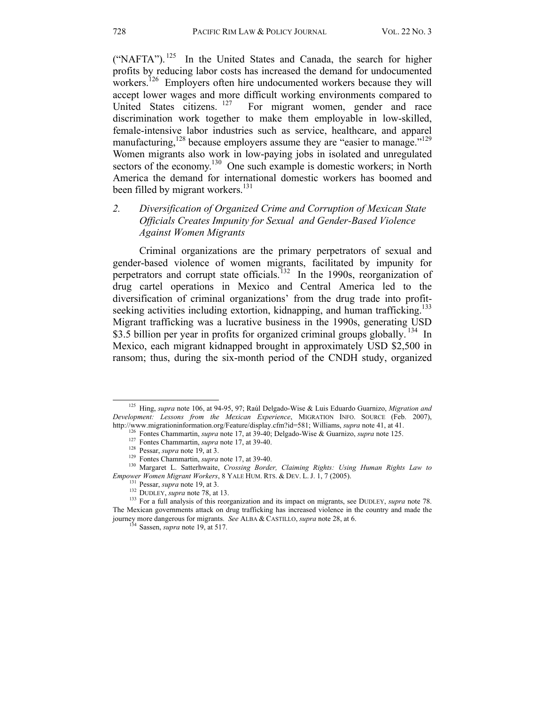("NAFTA").<sup>125</sup> In the United States and Canada, the search for higher profits by reducing labor costs has increased the demand for undocumented workers.<sup>126</sup> Employers often hire undocumented workers because they will accept lower wages and more difficult working environments compared to United States citizens. <sup>127</sup> For migrant women, gender and race discrimination work together to make them employable in low-skilled, female-intensive labor industries such as service, healthcare, and apparel manufacturing,<sup>128</sup> because employers assume they are "easier to manage."<sup>129</sup> Women migrants also work in low-paying jobs in isolated and unregulated sectors of the economy.<sup>130</sup> One such example is domestic workers; in North America the demand for international domestic workers has boomed and been filled by migrant workers.<sup>131</sup>

# *2. Diversification of Organized Crime and Corruption of Mexican State Officials Creates Impunity for Sexual and Gender-Based Violence Against Women Migrants*

Criminal organizations are the primary perpetrators of sexual and gender-based violence of women migrants, facilitated by impunity for perpetrators and corrupt state officials.<sup>132</sup> In the 1990s, reorganization of drug cartel operations in Mexico and Central America led to the diversification of criminal organizations' from the drug trade into profitseeking activities including extortion, kidnapping, and human trafficking.<sup>133</sup> Migrant trafficking was a lucrative business in the 1990s, generating USD \$3.5 billion per year in profits for organized criminal groups globally. <sup>134</sup> In Mexico, each migrant kidnapped brought in approximately USD \$2,500 in ransom; thus, during the six-month period of the CNDH study, organized

 <sup>125</sup> Hing, *supra* note 106, at 94-95, 97; Raúl Delgado-Wise & Luis Eduardo Guarnizo, *Migration and Development: Lessons from the Mexican Experience*, MIGRATION INFO. SOURCE (Feb. 2007), http://www.migrationinformation.org/Feature/display.cfm?id=581; Williams, *supra* note 41, at 41.

<sup>&</sup>lt;sup>126</sup> Fontes Chammartin, *supra* note 17, at 39-40; Delgado-Wise & Guarnizo, *supra* note 125.<br><sup>127</sup> Fontes Chammartin, *supra* note 17, at 39-40.<br><sup>128</sup> Pessar, *supra* note 19, at 3.<br><sup>129</sup> Fontes Chammartin, *supra* note

Empower Women Migrant Workers, 8 YALE HUM. RTS. & DEV. L. J. 1, 7 (2005).<br><sup>131</sup> Pessar, *supra* note 19, at 3.<br><sup>132</sup> DUDLEY, *supra* note 78, at 13.<br><sup>132</sup> DUDLEY, *supra* note 78, at 13.<br><sup>133</sup> For a full analysis of this r The Mexican governments attack on drug trafficking has increased violence in the country and made the journey more dangerous for migrants. *See* ALBA & CASTILLO, *supra* note 28, at 6. 134 Sassen, *supra* note 19, at 517.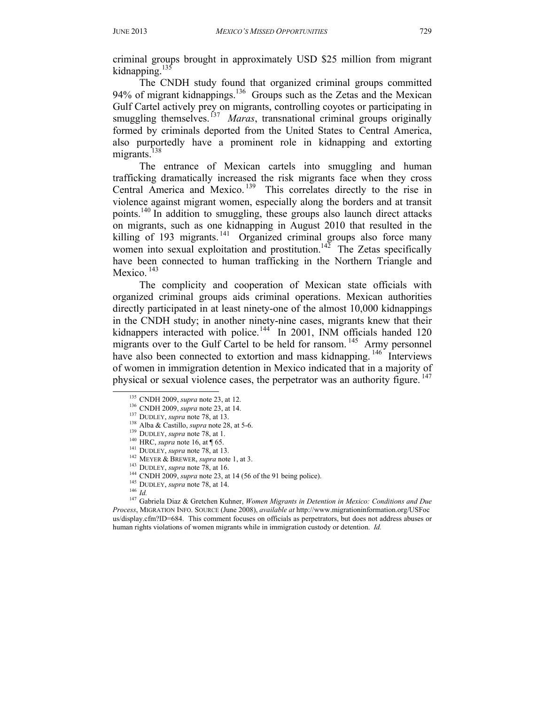criminal groups brought in approximately USD \$25 million from migrant kidnapping.<sup>135</sup>

The CNDH study found that organized criminal groups committed 94% of migrant kidnappings.<sup>136</sup> Groups such as the Zetas and the Mexican Gulf Cartel actively prey on migrants, controlling coyotes or participating in smuggling themselves.<sup>137</sup> *Maras*, transnational criminal groups originally formed by criminals deported from the United States to Central America, also purportedly have a prominent role in kidnapping and extorting migrants. $^{138}$ 

The entrance of Mexican cartels into smuggling and human trafficking dramatically increased the risk migrants face when they cross Central America and Mexico.<sup>139</sup> This correlates directly to the rise in violence against migrant women, especially along the borders and at transit points.<sup>140</sup> In addition to smuggling, these groups also launch direct attacks on migrants, such as one kidnapping in August 2010 that resulted in the killing of 193 migrants.  $141$  Organized criminal groups also force many women into sexual exploitation and prostitution.<sup>142</sup> The Zetas specifically have been connected to human trafficking in the Northern Triangle and Mexico.<sup>143</sup>

The complicity and cooperation of Mexican state officials with organized criminal groups aids criminal operations. Mexican authorities directly participated in at least ninety-one of the almost 10,000 kidnappings in the CNDH study; in another ninety-nine cases, migrants knew that their kidnappers interacted with police.<sup>144</sup> In 2001, INM officials handed 120 migrants over to the Gulf Cartel to be held for ransom.<sup>145</sup> Army personnel have also been connected to extortion and mass kidnapping.  $146 \text{ }^{\circ}$  Interviews of women in immigration detention in Mexico indicated that in a majority of physical or sexual violence cases, the perpetrator was an authority figure. <sup>147</sup><br>
<sup>135</sup> CNDH 2009, *supra* note 23, at 12.<br>
<sup>136</sup> CNDH 2009, *supra* note 28, at 13.<br>
<sup>137</sup> DUDLEY, *supra* note 78, at 13.<br>
<sup>139</sup> DUDLEY,

- 
- 
- 
- 
- 
- 
- 
- 
- 
- 
- 

*Process*, MIGRATION INFO. SOURCE (June 2008), *available at* http://www.migrationinformation.org/USFoc us/display.cfm?ID=684. This comment focuses on officials as perpetrators, but does not address abuses or human rights violations of women migrants while in immigration custody or detention. *Id.*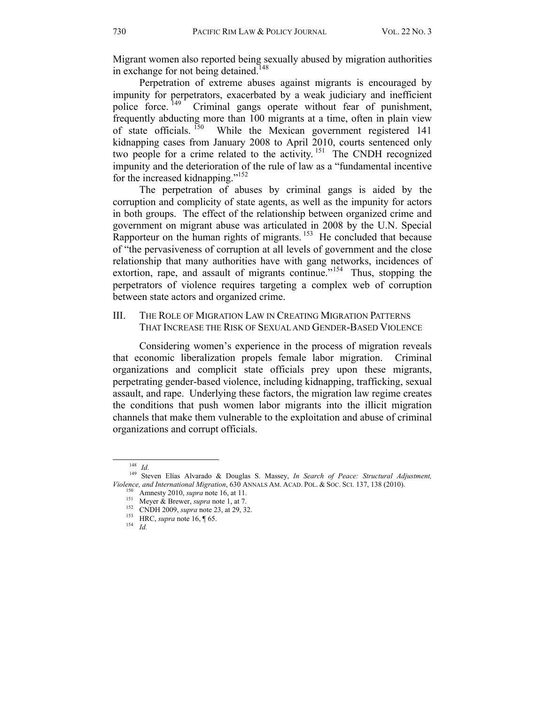Migrant women also reported being sexually abused by migration authorities in exchange for not being detained.<sup>148</sup>

Perpetration of extreme abuses against migrants is encouraged by impunity for perpetrators, exacerbated by a weak judiciary and inefficient police force.<sup>149</sup> Criminal gangs operate without fear of punishment, frequently abducting more than 100 migrants at a time, often in plain view of state officials. 150 While the Mexican government registered 141 kidnapping cases from January 2008 to April 2010, courts sentenced only two people for a crime related to the activity.<sup>151</sup> The CNDH recognized impunity and the deterioration of the rule of law as a "fundamental incentive for the increased kidnapping."152

The perpetration of abuses by criminal gangs is aided by the corruption and complicity of state agents, as well as the impunity for actors in both groups. The effect of the relationship between organized crime and government on migrant abuse was articulated in 2008 by the U.N. Special Rapporteur on the human rights of migrants.  $153$  He concluded that because of "the pervasiveness of corruption at all levels of government and the close relationship that many authorities have with gang networks, incidences of extortion, rape, and assault of migrants continue.<sup>"154</sup> Thus, stopping the perpetrators of violence requires targeting a complex web of corruption between state actors and organized crime.

III. THE ROLE OF MIGRATION LAW IN CREATING MIGRATION PATTERNS THAT INCREASE THE RISK OF SEXUAL AND GENDER-BASED VIOLENCE

Considering women's experience in the process of migration reveals that economic liberalization propels female labor migration. Criminal organizations and complicit state officials prey upon these migrants, perpetrating gender-based violence, including kidnapping, trafficking, sexual assault, and rape. Underlying these factors, the migration law regime creates the conditions that push women labor migrants into the illicit migration channels that make them vulnerable to the exploitation and abuse of criminal organizations and corrupt officials.

<sup>148</sup>*Id*. 149 Steven Elías Alvarado & Douglas S. Massey, *In Search of Peace: Structural Adjustment,*  Violence, and International Migration, 630 ANNALS AM. ACAD. POL. & Soc. Sct. 137, 138 (2010).<br>
<sup>150</sup> Amnesty 2010, *supra* note 16, at 11.<br>
<sup>151</sup> Meyer & Brewer, *supra* note 1, at 7.<br>
<sup>152</sup> CNDH 2009, *supra* note 23, at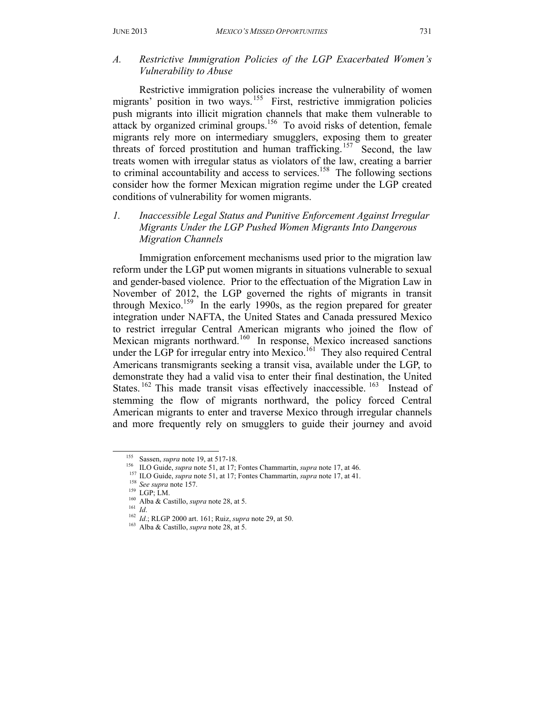*A. Restrictive Immigration Policies of the LGP Exacerbated Women's Vulnerability to Abuse* 

Restrictive immigration policies increase the vulnerability of women migrants' position in two ways.<sup>155</sup> First, restrictive immigration policies push migrants into illicit migration channels that make them vulnerable to attack by organized criminal groups.<sup>156</sup> To avoid risks of detention, female migrants rely more on intermediary smugglers, exposing them to greater threats of forced prostitution and human trafficking.<sup>157</sup> Second, the law treats women with irregular status as violators of the law, creating a barrier to criminal accountability and access to services.<sup>158</sup> The following sections consider how the former Mexican migration regime under the LGP created conditions of vulnerability for women migrants.

*1. Inaccessible Legal Status and Punitive Enforcement Against Irregular Migrants Under the LGP Pushed Women Migrants Into Dangerous Migration Channels*

Immigration enforcement mechanisms used prior to the migration law reform under the LGP put women migrants in situations vulnerable to sexual and gender-based violence. Prior to the effectuation of the Migration Law in November of 2012, the LGP governed the rights of migrants in transit through Mexico.<sup>159</sup> In the early 1990s, as the region prepared for greater integration under NAFTA, the United States and Canada pressured Mexico to restrict irregular Central American migrants who joined the flow of Mexican migrants northward.<sup>160</sup> In response, Mexico increased sanctions under the LGP for irregular entry into Mexico.<sup>161</sup> They also required Central Americans transmigrants seeking a transit visa, available under the LGP, to demonstrate they had a valid visa to enter their final destination, the United States.<sup>162</sup> This made transit visas effectively inaccessible.<sup>163</sup> Instead of stemming the flow of migrants northward, the policy forced Central American migrants to enter and traverse Mexico through irregular channels and more frequently rely on smugglers to guide their journey and avoid

<sup>&</sup>lt;sup>155</sup> Sassen, *supra* note 19, at 517-18.<br><sup>156</sup> ILO Guide, *supra* note 51, at 17; Fontes Chammartin, *supra* note 17, at 46.<br><sup>157</sup> ILO Guide, *supra* note 51, at 17; Fontes Chammartin, *supra* note 17, at 41.<br><sup>158</sup> See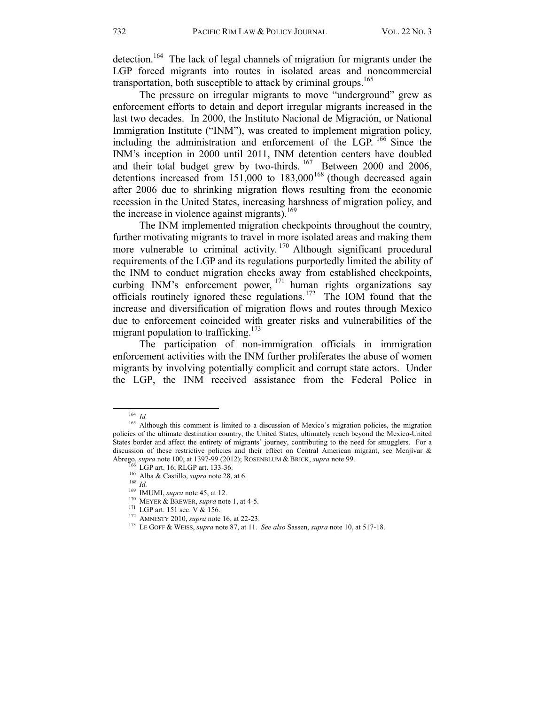detection.<sup>164</sup> The lack of legal channels of migration for migrants under the LGP forced migrants into routes in isolated areas and noncommercial transportation, both susceptible to attack by criminal groups.<sup>165</sup>

The pressure on irregular migrants to move "underground" grew as enforcement efforts to detain and deport irregular migrants increased in the last two decades. In 2000, the Instituto Nacional de Migración, or National Immigration Institute ("INM"), was created to implement migration policy, including the administration and enforcement of the LGP. 166 Since the INM's inception in 2000 until 2011, INM detention centers have doubled and their total budget grew by two-thirds. <sup>167</sup> Between 2000 and 2006, detentions increased from  $151,000$  to  $183,000$ <sup>168</sup> (though decreased again after 2006 due to shrinking migration flows resulting from the economic recession in the United States, increasing harshness of migration policy, and the increase in violence against migrants).<sup>169</sup>

The INM implemented migration checkpoints throughout the country, further motivating migrants to travel in more isolated areas and making them more vulnerable to criminal activity.<sup>170</sup> Although significant procedural requirements of the LGP and its regulations purportedly limited the ability of the INM to conduct migration checks away from established checkpoints, curbing INM's enforcement power,  $171$  human rights organizations say officials routinely ignored these regulations.172 The IOM found that the increase and diversification of migration flows and routes through Mexico due to enforcement coincided with greater risks and vulnerabilities of the migrant population to trafficking.<sup>173</sup>

 The participation of non-immigration officials in immigration enforcement activities with the INM further proliferates the abuse of women migrants by involving potentially complicit and corrupt state actors. Under the LGP, the INM received assistance from the Federal Police in

<sup>&</sup>lt;sup>164</sup> *Id. Id.* 165 Although this comment is limited to a discussion of Mexico's migration policies, the migration policies of the ultimate destination country, the United States, ultimately reach beyond the Mexico-United States border and affect the entirety of migrants' journey, contributing to the need for smugglers. For a discussion of these restrictive policies and their effect on Central American migrant, see Menjívar & Abrego, *supra* note 100, at 1397-99 (2012); ROSENBLUM & BRICK, *supra* note 99.

<sup>&</sup>lt;sup>166</sup> LGP art. 16; RLGP art. 133-36.<br><sup>167</sup> Alba & Castillo, *supra* note 28, at 6.<br><sup>169</sup> IMUMI, *supra* note 45, at 12.<br><sup>170</sup> MEYER & BREWER, *supra* note 1, at 4-5.<br><sup>171</sup> LGP art. 151 sec. V & 156.<br><sup>172</sup> AMNESTY 2010, *s*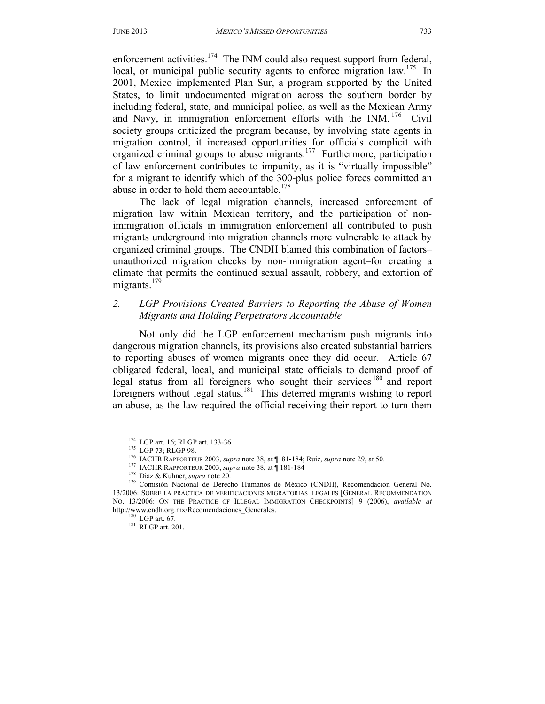enforcement activities.<sup>174</sup> The INM could also request support from federal, local, or municipal public security agents to enforce migration law.<sup>175</sup> In 2001, Mexico implemented Plan Sur, a program supported by the United States, to limit undocumented migration across the southern border by including federal, state, and municipal police, as well as the Mexican Army and Navy, in immigration enforcement efforts with the INM.  $176$  Civil society groups criticized the program because, by involving state agents in migration control, it increased opportunities for officials complicit with organized criminal groups to abuse migrants.177 Furthermore, participation of law enforcement contributes to impunity, as it is "virtually impossible" for a migrant to identify which of the 300-plus police forces committed an abuse in order to hold them accountable.<sup>178</sup>

 The lack of legal migration channels, increased enforcement of migration law within Mexican territory, and the participation of nonimmigration officials in immigration enforcement all contributed to push migrants underground into migration channels more vulnerable to attack by organized criminal groups. The CNDH blamed this combination of factors– unauthorized migration checks by non-immigration agent–for creating a climate that permits the continued sexual assault, robbery, and extortion of migrants. $179$ 

#### *2. LGP Provisions Created Barriers to Reporting the Abuse of Women Migrants and Holding Perpetrators Accountable*

Not only did the LGP enforcement mechanism push migrants into dangerous migration channels, its provisions also created substantial barriers to reporting abuses of women migrants once they did occur. Article 67 obligated federal, local, and municipal state officials to demand proof of legal status from all foreigners who sought their services<sup>180</sup> and report foreigners without legal status.<sup>181</sup> This deterred migrants wishing to report an abuse, as the law required the official receiving their report to turn them

<sup>&</sup>lt;sup>174</sup> LGP art. 16; RLGP art. 133-36.<br><sup>175</sup> LGP 73; RLGP 98.<br><sup>176</sup> IACHR RAPPORTEUR 2003, *supra* note 38, at ¶181-184; Ruiz, *supra* note 29, at 50.<br><sup>177</sup> IACHR RAPPORTEUR 2003, *supra* note 38, at ¶ 181-184<br><sup>178</sup> Diaz & 13/2006: SOBRE LA PRÁCTICA DE VERIFICACIONES MIGRATORIAS ILEGALES [GENERAL RECOMMENDATION NO. 13/2006: ON THE PRACTICE OF ILLEGAL IMMIGRATION CHECKPOINTS] 9 (2006), *available at*  http://www.cndh.org.mx/Recomendaciones\_Generales.<br><sup>180</sup> LGP art. 67.<br><sup>181</sup> RLGP art. 201.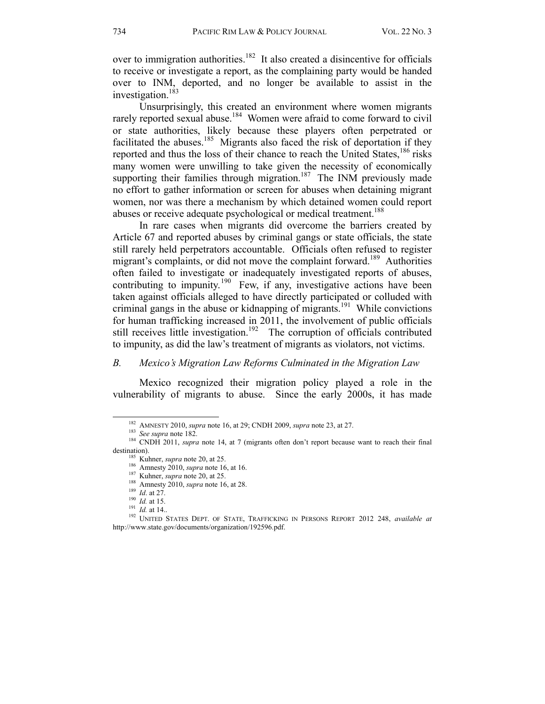over to immigration authorities.<sup>182</sup> It also created a disincentive for officials to receive or investigate a report, as the complaining party would be handed over to INM, deported, and no longer be available to assist in the investigation.<sup>183</sup>

Unsurprisingly, this created an environment where women migrants rarely reported sexual abuse.<sup>184</sup> Women were afraid to come forward to civil or state authorities, likely because these players often perpetrated or facilitated the abuses.<sup>185</sup> Migrants also faced the risk of deportation if they reported and thus the loss of their chance to reach the United States,<sup>186</sup> risks many women were unwilling to take given the necessity of economically supporting their families through migration.<sup>187</sup> The INM previously made no effort to gather information or screen for abuses when detaining migrant women, nor was there a mechanism by which detained women could report abuses or receive adequate psychological or medical treatment.<sup>188</sup>

 In rare cases when migrants did overcome the barriers created by Article 67 and reported abuses by criminal gangs or state officials, the state still rarely held perpetrators accountable. Officials often refused to register migrant's complaints, or did not move the complaint forward.<sup>189</sup> Authorities often failed to investigate or inadequately investigated reports of abuses, contributing to impunity.<sup>190</sup> Few, if any, investigative actions have been taken against officials alleged to have directly participated or colluded with criminal gangs in the abuse or kidnapping of migrants.<sup>191</sup> While convictions for human trafficking increased in 2011, the involvement of public officials still receives little investigation.<sup>192</sup> The corruption of officials contributed to impunity, as did the law's treatment of migrants as violators, not victims.

#### *B. Mexico's Migration Law Reforms Culminated in the Migration Law*

Mexico recognized their migration policy played a role in the vulnerability of migrants to abuse. Since the early 2000s, it has made

<sup>&</sup>lt;sup>182</sup> AMNESTY 2010, *supra* note 16, at 29; CNDH 2009, *supra* note 23, at 27.<br><sup>183</sup> *See supra* note 182.<br><sup>184</sup> CNDH 2011, *supra* note 14, at 7 (migrants often don't report because want to reach their final destination).<br>
<sup>185</sup> Kuhner, *supra* note 20, at 25.<br>
<sup>186</sup> Amnesty 2010, *supra* note 16, at 16.<br>
<sup>187</sup> Kuhner, *supra* note 20, at 25.<br>
<sup>188</sup> *Id.* at 27.<br>
<sup>190</sup> *Id.* at 15.<br>
<sup>191</sup> *Id.* at 14..<br>
<sup>192</sup> UNITED STATES DE

http://www.state.gov/documents/organization/192596.pdf.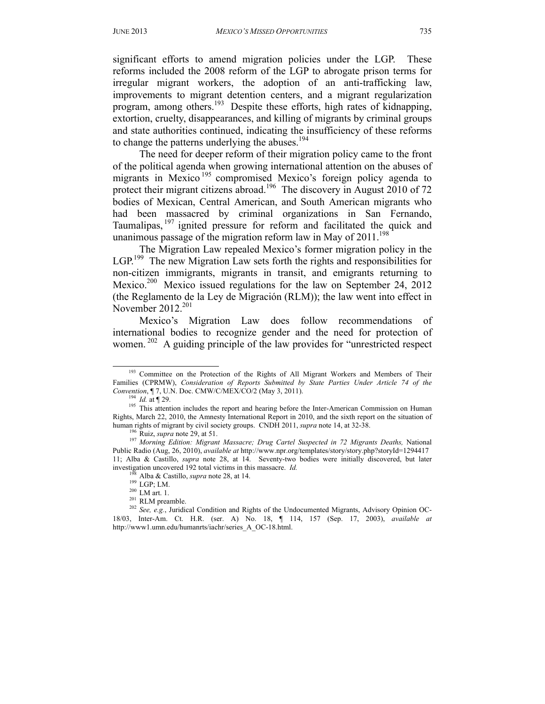significant efforts to amend migration policies under the LGP. These reforms included the 2008 reform of the LGP to abrogate prison terms for irregular migrant workers, the adoption of an anti-trafficking law, improvements to migrant detention centers, and a migrant regularization program, among others.193 Despite these efforts, high rates of kidnapping, extortion, cruelty, disappearances, and killing of migrants by criminal groups and state authorities continued, indicating the insufficiency of these reforms to change the patterns underlying the abuses. $194$ 

The need for deeper reform of their migration policy came to the front of the political agenda when growing international attention on the abuses of migrants in Mexico<sup>195</sup> compromised Mexico's foreign policy agenda to protect their migrant citizens abroad.<sup>196</sup> The discovery in August 2010 of 72 bodies of Mexican, Central American, and South American migrants who had been massacred by criminal organizations in San Fernando, Taumalipas, 197 ignited pressure for reform and facilitated the quick and unanimous passage of the migration reform law in May of  $2011$ .<sup>198</sup>

The Migration Law repealed Mexico's former migration policy in the LGP.<sup>199</sup> The new Migration Law sets forth the rights and responsibilities for non-citizen immigrants, migrants in transit, and emigrants returning to Mexico.<sup>200</sup> Mexico issued regulations for the law on September 24, 2012 (the Reglamento de la Ley de Migración (RLM)); the law went into effect in November 2012.<sup>201</sup>

Mexico's Migration Law does follow recommendations of international bodies to recognize gender and the need for protection of women.<sup>202</sup> A guiding principle of the law provides for "unrestricted respect

<sup>&</sup>lt;sup>193</sup> Committee on the Protection of the Rights of All Migrant Workers and Members of Their Families (CPRMW), *Consideration of Reports Submitted by State Parties Under Article 74 of the* 

*Convention*, ¶ 7, U.N. Doc. CMW/C/MEX/CO/2 (May 3, 2011).<br><sup>194</sup> *Id.* at ¶ 29.<br><sup>195</sup> This attention includes the report and hearing before the Inter-American Commission on Human Rights, March 22, 2010, the Amnesty International Report in 2010, and the sixth report on the situation of human rights of migrant by civil society groups. CNDH 2011, *supra* note 14, at 32-38.

<sup>&</sup>lt;sup>196</sup> Ruiz, *supra* note 29, at 51.<br><sup>197</sup> Morning Edition: Migrant Massacre; Drug Cartel Suspected in 72 Migrants Deaths, National Public Radio (Aug, 26, 2010), *available at* http://www.npr.org/templates/story/story.php?storyId=1294417 11; Alba & Castillo, *supra* note 28, at 14. Seventy-two bodies were initially discovered, but later

investigation uncovered 192 total victims in this massacre. *Id.*<br><sup>198</sup> Alba & Castillo, *supra* note 28, at 14.<br><sup>199</sup> LGP; LM.<br><sup>200</sup> LM art. 1.<br><sup>201</sup> RLM preamble.<br><sup>202</sup> *See, e.g.*, Juridical Condition and Rights of the 18/03, Inter-Am. Ct. H.R. (ser. A) No. 18, ¶ 114, 157 (Sep. 17, 2003), *available at*  http://www1.umn.edu/humanrts/iachr/series\_A\_OC-18.html.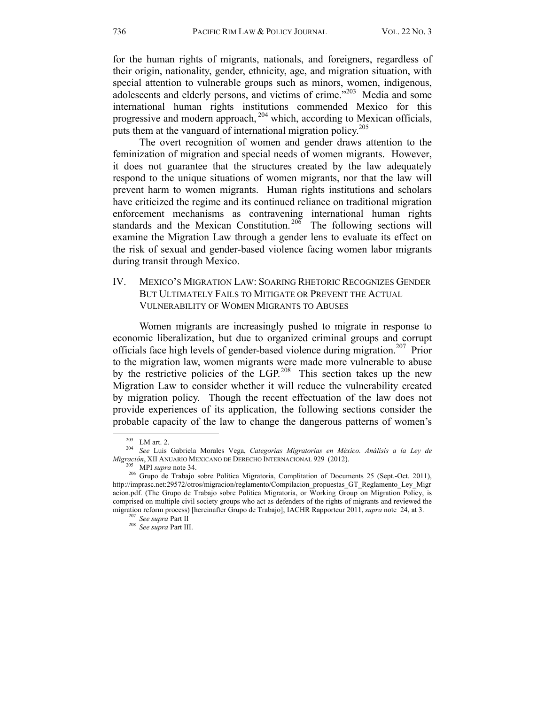for the human rights of migrants, nationals, and foreigners, regardless of their origin, nationality, gender, ethnicity, age, and migration situation, with special attention to vulnerable groups such as minors, women, indigenous, adolescents and elderly persons, and victims of crime.<sup>"203</sup> Media and some international human rights institutions commended Mexico for this progressive and modern approach, 204 which, according to Mexican officials, puts them at the vanguard of international migration policy.<sup>205</sup>

The overt recognition of women and gender draws attention to the feminization of migration and special needs of women migrants. However, it does not guarantee that the structures created by the law adequately respond to the unique situations of women migrants, nor that the law will prevent harm to women migrants. Human rights institutions and scholars have criticized the regime and its continued reliance on traditional migration enforcement mechanisms as contravening international human rights standards and the Mexican Constitution.<sup>206</sup> The following sections will examine the Migration Law through a gender lens to evaluate its effect on the risk of sexual and gender-based violence facing women labor migrants during transit through Mexico.

#### IV. MEXICO'S MIGRATION LAW: SOARING RHETORIC RECOGNIZES GENDER BUT ULTIMATELY FAILS TO MITIGATE OR PREVENT THE ACTUAL VULNERABILITY OF WOMEN MIGRANTS TO ABUSES

Women migrants are increasingly pushed to migrate in response to economic liberalization, but due to organized criminal groups and corrupt officials face high levels of gender-based violence during migration.<sup>207</sup> Prior to the migration law, women migrants were made more vulnerable to abuse by the restrictive policies of the LGP.<sup>208</sup> This section takes up the new Migration Law to consider whether it will reduce the vulnerability created by migration policy. Though the recent effectuation of the law does not provide experiences of its application, the following sections consider the probable capacity of the law to change the dangerous patterns of women's

 <sup>203</sup> LM art. 2. 204 *See* Luis Gabriela Morales Vega, *Categorías Migratorias en México. Análisis a la Ley de Migración*, XII ANUARIO MEXICANO DE DERECHO INTERNACIONAL 929 (2012).<br><sup>205</sup> MPI *supra* note 34. <sup>206</sup> Grupo de Trabajo sobre Política Migratoria, Complitation of Documents 25 (Sept.-Oct. 2011),

http://imprasc.net:29572/otros/migracion/reglamento/Compilacion\_propuestas\_GT\_Reglamento\_Ley\_Migr acion.pdf. (The Grupo de Trabajo sobre Politica Migratoria, or Working Group on Migration Policy, is comprised on multiple civil society groups who act as defenders of the rights of migrants and reviewed the migration reform process) [hereinafter Grupo de Trabajo]; IACHR Rapporteur 2011, *supra* note 24, at 3. <sup>207</sup> *See supra* Part III.<br><sup>208</sup> *See supra* Part III.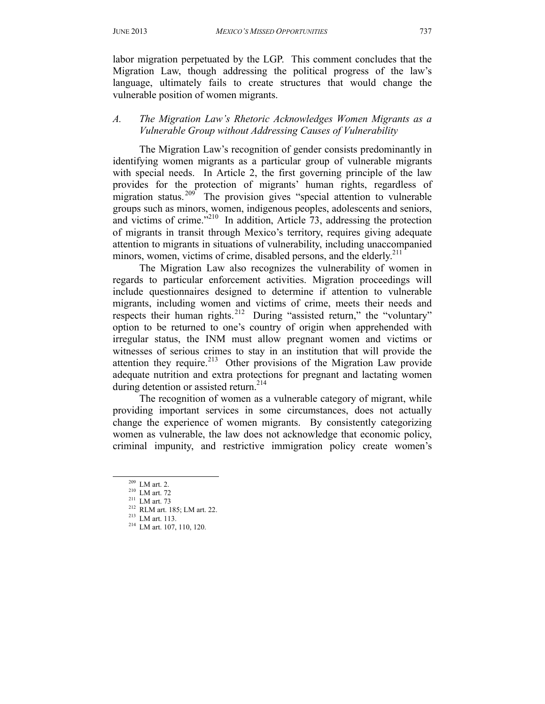labor migration perpetuated by the LGP. This comment concludes that the Migration Law, though addressing the political progress of the law's language, ultimately fails to create structures that would change the vulnerable position of women migrants.

# *A. The Migration Law's Rhetoric Acknowledges Women Migrants as a Vulnerable Group without Addressing Causes of Vulnerability*

 The Migration Law's recognition of gender consists predominantly in identifying women migrants as a particular group of vulnerable migrants with special needs. In Article 2, the first governing principle of the law provides for the protection of migrants' human rights, regardless of migration status.<sup>209</sup> The provision gives "special attention to vulnerable groups such as minors, women, indigenous peoples, adolescents and seniors, and victims of crime."210 In addition, Article 73, addressing the protection of migrants in transit through Mexico's territory, requires giving adequate attention to migrants in situations of vulnerability, including unaccompanied minors, women, victims of crime, disabled persons, and the elderly.<sup>211</sup>

The Migration Law also recognizes the vulnerability of women in regards to particular enforcement activities. Migration proceedings will include questionnaires designed to determine if attention to vulnerable migrants, including women and victims of crime, meets their needs and respects their human rights.<sup>212</sup> During "assisted return," the "voluntary" option to be returned to one's country of origin when apprehended with irregular status, the INM must allow pregnant women and victims or witnesses of serious crimes to stay in an institution that will provide the attention they require.<sup>213</sup> Other provisions of the Migration Law provide adequate nutrition and extra protections for pregnant and lactating women during detention or assisted return.<sup>214</sup>

 The recognition of women as a vulnerable category of migrant, while providing important services in some circumstances, does not actually change the experience of women migrants. By consistently categorizing women as vulnerable, the law does not acknowledge that economic policy, criminal impunity, and restrictive immigration policy create women's

<sup>209</sup> LM art. 2.<br>
<sup>210</sup> LM art. 72<br>
<sup>211</sup> LM art. 73<br>
<sup>212</sup> RLM art. 185; LM art. 22.<br>
<sup>213</sup> LM art. 113.<br>
<sup>214</sup> LM art. 107, 110, 120.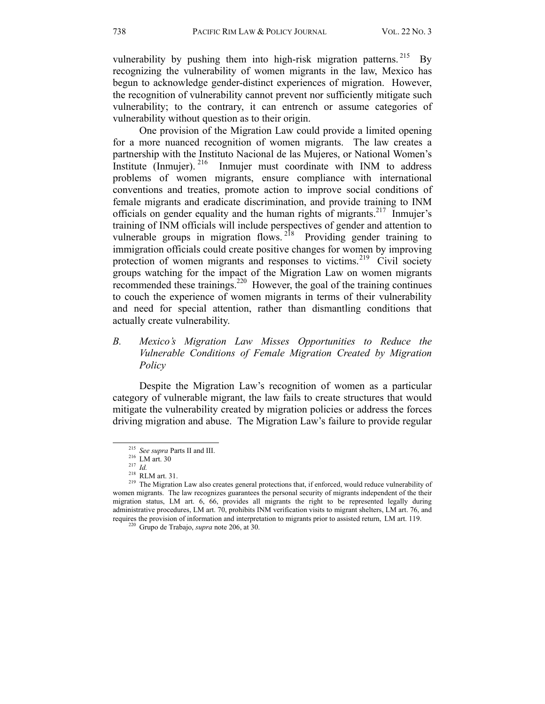vulnerability by pushing them into high-risk migration patterns.<sup>215</sup> By recognizing the vulnerability of women migrants in the law, Mexico has begun to acknowledge gender-distinct experiences of migration. However, the recognition of vulnerability cannot prevent nor sufficiently mitigate such vulnerability; to the contrary, it can entrench or assume categories of vulnerability without question as to their origin.

 One provision of the Migration Law could provide a limited opening for a more nuanced recognition of women migrants. The law creates a partnership with the Instituto Nacional de las Mujeres, or National Women's Institute (Inmujer).  $216$  Inmujer must coordinate with INM to address problems of women migrants, ensure compliance with international conventions and treaties, promote action to improve social conditions of female migrants and eradicate discrimination, and provide training to INM officials on gender equality and the human rights of migrants.217 Inmujer's training of INM officials will include perspectives of gender and attention to vulnerable groups in migration flows.<sup>218</sup> Providing gender training to immigration officials could create positive changes for women by improving protection of women migrants and responses to victims.<sup>219</sup> Civil society groups watching for the impact of the Migration Law on women migrants recommended these trainings.220 However, the goal of the training continues to couch the experience of women migrants in terms of their vulnerability and need for special attention, rather than dismantling conditions that actually create vulnerability.

# *B. Mexico's Migration Law Misses Opportunities to Reduce the Vulnerable Conditions of Female Migration Created by Migration Policy*

Despite the Migration Law's recognition of women as a particular category of vulnerable migrant, the law fails to create structures that would mitigate the vulnerability created by migration policies or address the forces driving migration and abuse. The Migration Law's failure to provide regular

<sup>&</sup>lt;sup>215</sup> *See supra* Parts II and III.<br><sup>216</sup> LM art. 30<br><sup>217</sup> *Id.* 218 RLM art. 31.<br><sup>219</sup> The Migration Law also creates general protections that, if enforced, would reduce vulnerability of women migrants. The law recognizes guarantees the personal security of migrants independent of the their migration status, LM art. 6, 66, provides all migrants the right to be represented legally during administrative procedures, LM art. 70, prohibits INM verification visits to migrant shelters, LM art. 76, and requires the provision of information and interpretation to migrants prior to assisted return, LM art. 119. 220 Grupo de Trabajo, *supra* note 206, at 30.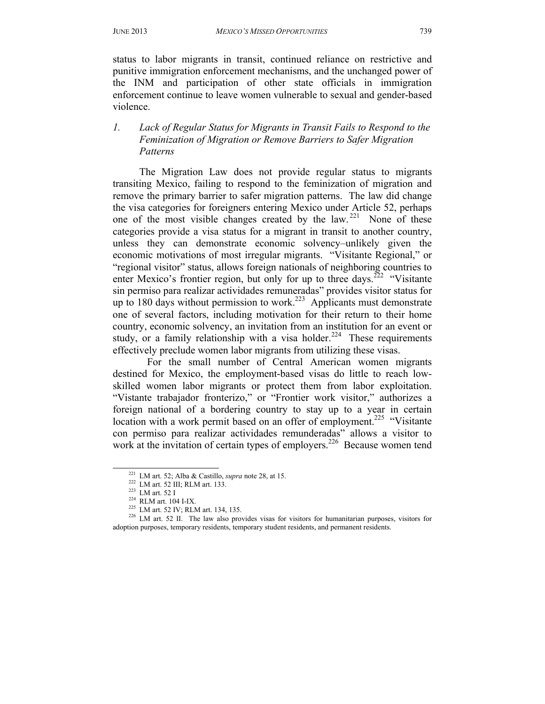status to labor migrants in transit, continued reliance on restrictive and punitive immigration enforcement mechanisms, and the unchanged power of the INM and participation of other state officials in immigration enforcement continue to leave women vulnerable to sexual and gender-based violence.

# *1. Lack of Regular Status for Migrants in Transit Fails to Respond to the Feminization of Migration or Remove Barriers to Safer Migration Patterns*

 The Migration Law does not provide regular status to migrants transiting Mexico, failing to respond to the feminization of migration and remove the primary barrier to safer migration patterns. The law did change the visa categories for foreigners entering Mexico under Article 52, perhaps one of the most visible changes created by the law.<sup>221</sup> None of these categories provide a visa status for a migrant in transit to another country, unless they can demonstrate economic solvency–unlikely given the economic motivations of most irregular migrants. "Visitante Regional," or "regional visitor" status, allows foreign nationals of neighboring countries to enter Mexico's frontier region, but only for up to three days.<sup>222</sup> "Visitante" sin permiso para realizar actividades remuneradas" provides visitor status for up to 180 days without permission to work.<sup>223</sup> Applicants must demonstrate one of several factors, including motivation for their return to their home country, economic solvency, an invitation from an institution for an event or study, or a family relationship with a visa holder.<sup>224</sup> These requirements effectively preclude women labor migrants from utilizing these visas.

 For the small number of Central American women migrants destined for Mexico, the employment-based visas do little to reach lowskilled women labor migrants or protect them from labor exploitation. "Vistante trabajador fronterizo," or "Frontier work visitor," authorizes a foreign national of a bordering country to stay up to a year in certain location with a work permit based on an offer of employment.<sup>225</sup> "Visitante" con permiso para realizar actividades remunderadas" allows a visitor to work at the invitation of certain types of employers.<sup>226</sup> Because women tend

<sup>&</sup>lt;sup>221</sup> LM art. 52; Alba & Castillo, *supra* note 28, at 15.<br><sup>222</sup> LM art. 52 III; RLM art. 133.<br><sup>223</sup> LM art. 52 I<br><sup>224</sup> RLM art. 104 I-IX.<br><sup>225</sup> LM art. 52 IV; RLM art. 134, 135.<br><sup>226</sup> LM art. 52 II. The law also provides adoption purposes, temporary residents, temporary student residents, and permanent residents.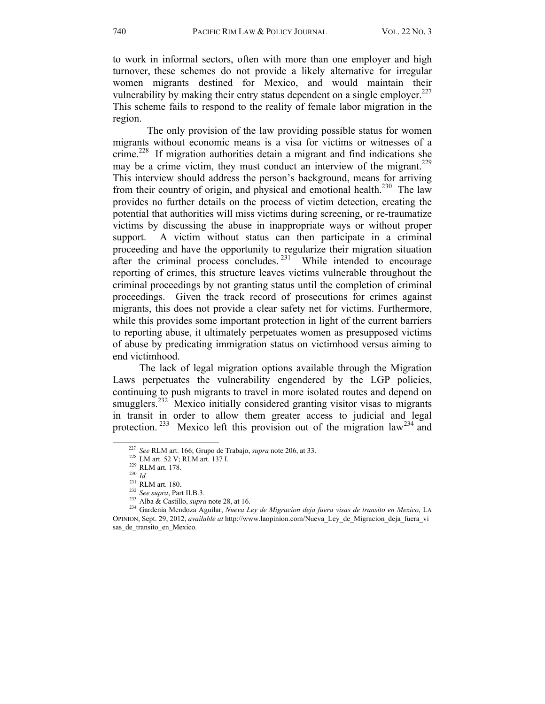to work in informal sectors, often with more than one employer and high turnover, these schemes do not provide a likely alternative for irregular women migrants destined for Mexico, and would maintain their vulnerability by making their entry status dependent on a single employer.<sup>227</sup> This scheme fails to respond to the reality of female labor migration in the region.

 The only provision of the law providing possible status for women migrants without economic means is a visa for victims or witnesses of a crime.<sup>228</sup> If migration authorities detain a migrant and find indications she may be a crime victim, they must conduct an interview of the migrant.<sup>229</sup> This interview should address the person's background, means for arriving from their country of origin, and physical and emotional health.<sup>230</sup> The law provides no further details on the process of victim detection, creating the potential that authorities will miss victims during screening, or re-traumatize victims by discussing the abuse in inappropriate ways or without proper support. A victim without status can then participate in a criminal proceeding and have the opportunity to regularize their migration situation after the criminal process concludes.<sup>231</sup> While intended to encourage reporting of crimes, this structure leaves victims vulnerable throughout the criminal proceedings by not granting status until the completion of criminal proceedings. Given the track record of prosecutions for crimes against migrants, this does not provide a clear safety net for victims. Furthermore, while this provides some important protection in light of the current barriers to reporting abuse, it ultimately perpetuates women as presupposed victims of abuse by predicating immigration status on victimhood versus aiming to end victimhood.

The lack of legal migration options available through the Migration Laws perpetuates the vulnerability engendered by the LGP policies, continuing to push migrants to travel in more isolated routes and depend on smugglers.<sup>232</sup> Mexico initially considered granting visitor visas to migrants in transit in order to allow them greater access to judicial and legal protection.<sup>233</sup> Mexico left this provision out of the migration law<sup>234</sup> and

<sup>&</sup>lt;sup>227</sup> See RLM art. 166; Grupo de Trabajo, *supra* note 206, at 33.<br><sup>228</sup> LM art. 52 V; RLM art. 137 I.<br><sup>229</sup> RLM art. 178.<br><sup>230</sup> Id.<br><sup>231</sup> RLM art. 180.<br><sup>232</sup> See supra, Part II.B.3.<br><sup>233</sup> Alba & Castillo, *supra* note 28 OPINION, Sept. 29, 2012, *available at* http://www.laopinion.com/Nueva\_Ley\_de\_Migracion\_deja\_fuera\_vi sas\_de\_transito\_en\_Mexico.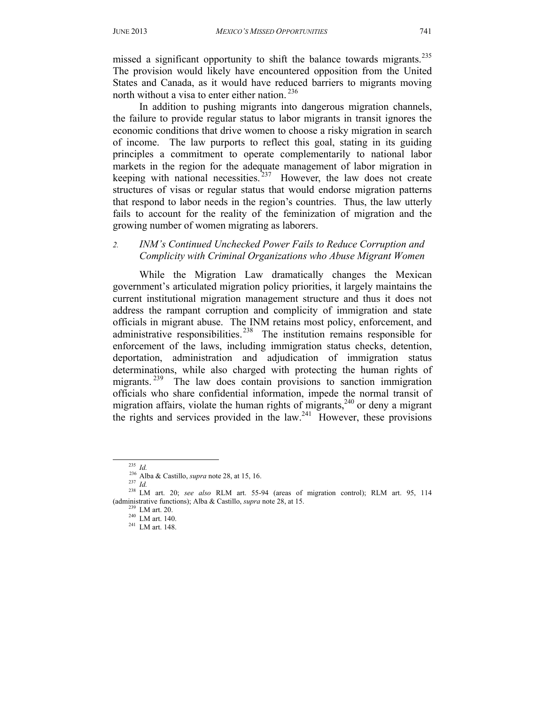missed a significant opportunity to shift the balance towards migrants.<sup>235</sup> The provision would likely have encountered opposition from the United States and Canada, as it would have reduced barriers to migrants moving north without a visa to enter either nation.<sup>236</sup>

In addition to pushing migrants into dangerous migration channels, the failure to provide regular status to labor migrants in transit ignores the economic conditions that drive women to choose a risky migration in search of income. The law purports to reflect this goal, stating in its guiding principles a commitment to operate complementarily to national labor markets in the region for the adequate management of labor migration in keeping with national necessities.  $237$  However, the law does not create structures of visas or regular status that would endorse migration patterns that respond to labor needs in the region's countries. Thus, the law utterly fails to account for the reality of the feminization of migration and the growing number of women migrating as laborers.

#### *2. INM's Continued Unchecked Power Fails to Reduce Corruption and Complicity with Criminal Organizations who Abuse Migrant Women*

 While the Migration Law dramatically changes the Mexican government's articulated migration policy priorities, it largely maintains the current institutional migration management structure and thus it does not address the rampant corruption and complicity of immigration and state officials in migrant abuse. The INM retains most policy, enforcement, and administrative responsibilities.<sup>238</sup> The institution remains responsible for enforcement of the laws, including immigration status checks, detention, deportation, administration and adjudication of immigration status determinations, while also charged with protecting the human rights of migrants.<sup>239</sup> The law does contain provisions to sanction immigration officials who share confidential information, impede the normal transit of migration affairs, violate the human rights of migrants,<sup>240</sup> or deny a migrant the rights and services provided in the law. $241$  However, these provisions

<sup>235</sup> *Id.* 236 Alba & Castillo, *supra* note 28, at 15, 16. 237 *Id.* 238 LM art. 20; *see also* RLM art. 55-94 (areas of migration control); RLM art. 95, 114 (administrative functions); Alba & Castillo, *supra* note 28, at 15.<br><sup>239</sup> LM art. 20.<br><sup>240</sup> LM art. 140.<br><sup>241</sup> LM art. 148.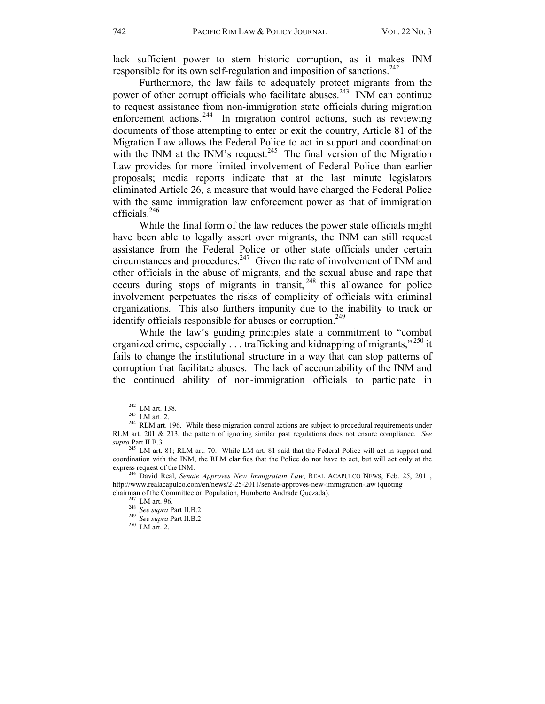lack sufficient power to stem historic corruption, as it makes INM responsible for its own self-regulation and imposition of sanctions.<sup>242</sup>

 Furthermore, the law fails to adequately protect migrants from the power of other corrupt officials who facilitate abuses.<sup>243</sup> INM can continue to request assistance from non-immigration state officials during migration enforcement actions.<sup>244</sup> In migration control actions, such as reviewing documents of those attempting to enter or exit the country, Article 81 of the Migration Law allows the Federal Police to act in support and coordination with the INM at the INM's request.<sup>245</sup> The final version of the Migration Law provides for more limited involvement of Federal Police than earlier proposals; media reports indicate that at the last minute legislators eliminated Article 26, a measure that would have charged the Federal Police with the same immigration law enforcement power as that of immigration officials.246

 While the final form of the law reduces the power state officials might have been able to legally assert over migrants, the INM can still request assistance from the Federal Police or other state officials under certain circumstances and procedures.<sup>247</sup> Given the rate of involvement of INM and other officials in the abuse of migrants, and the sexual abuse and rape that occurs during stops of migrants in transit,  $248$  this allowance for police involvement perpetuates the risks of complicity of officials with criminal organizations. This also furthers impunity due to the inability to track or identify officials responsible for abuses or corruption.<sup>249</sup>

While the law's guiding principles state a commitment to "combat organized crime, especially . . . trafficking and kidnapping of migrants,"<sup>250</sup> it fails to change the institutional structure in a way that can stop patterns of corruption that facilitate abuses. The lack of accountability of the INM and the continued ability of non-immigration officials to participate in

<sup>&</sup>lt;sup>242</sup> LM art. 138.<br><sup>243</sup> LM art. 2.<br><sup>243</sup> RLM art. 196. While these migration control actions are subject to procedural requirements under RLM art. 201 & 213, the pattern of ignoring similar past regulations does not ensure compliance. *See supra* Part II.B.3.

<sup>&</sup>lt;sup>245</sup> LM art. 81; RLM art. 70. While LM art. 81 said that the Federal Police will act in support and coordination with the INM, the RLM clarifies that the Police do not have to act, but will act only at the

<sup>&</sup>lt;sup>246</sup> David Real, *Senate Approves New Immigration Law*, REAL ACAPULCO NEWS, Feb. 25, 2011, http://www.realacapulco.com/en/news/2-25-2011/senate-approves-new-immigration-law (quoting chairman of the Committee on Population, Humberto Andrade Quezada). 247 LM art. 96. 248 *See supra* Part II.B.2. 249 *See supra* Part II.B.2. 250 LM art. 2.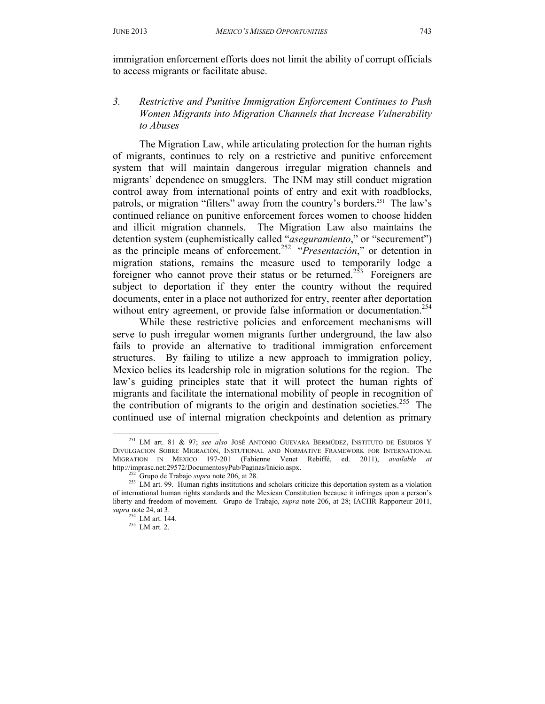immigration enforcement efforts does not limit the ability of corrupt officials to access migrants or facilitate abuse.

#### *3. Restrictive and Punitive Immigration Enforcement Continues to Push Women Migrants into Migration Channels that Increase Vulnerability to Abuses*

 The Migration Law, while articulating protection for the human rights of migrants, continues to rely on a restrictive and punitive enforcement system that will maintain dangerous irregular migration channels and migrants' dependence on smugglers. The INM may still conduct migration control away from international points of entry and exit with roadblocks, patrols, or migration "filters" away from the country's borders.251 The law's continued reliance on punitive enforcement forces women to choose hidden and illicit migration channels. The Migration Law also maintains the detention system (euphemistically called "*aseguramiento*," or "securement") as the principle means of enforcement.252 "*Presentación*," or detention in migration stations, remains the measure used to temporarily lodge a foreigner who cannot prove their status or be returned.<sup>253</sup> Foreigners are subject to deportation if they enter the country without the required documents, enter in a place not authorized for entry, reenter after deportation without entry agreement, or provide false information or documentation.<sup>254</sup>

 While these restrictive policies and enforcement mechanisms will serve to push irregular women migrants further underground, the law also fails to provide an alternative to traditional immigration enforcement structures. By failing to utilize a new approach to immigration policy, Mexico belies its leadership role in migration solutions for the region. The law's guiding principles state that it will protect the human rights of migrants and facilitate the international mobility of people in recognition of the contribution of migrants to the origin and destination societies.<sup>255</sup> The continued use of internal migration checkpoints and detention as primary

 <sup>251</sup> LM art. 81 & 97; *see also* JOSÉ ANTONIO GUEVARA BERMÚDEZ, INSTITUTO DE ESUDIOS Y DIVULGACION SOBRE MIGRACIÓN, INSTUTIONAL AND NORMATIVE FRAMEWORK FOR INTERNATIONAL MIGRATION IN MEXICO 197-201 (Fabienne Venet Rebiffé, ed. 2011), *available at* 

http://imprasc.net:29572/DocumentosyPub/Paginas/Inicio.aspx.<br><sup>252</sup> Grupo de Trabajo *supra* note 206, at 28.<br><sup>253</sup> LM art. 99. Human rights institutions and scholars criticize this deportation system as a violation of international human rights standards and the Mexican Constitution because it infringes upon a person's liberty and freedom of movement. Grupo de Trabajo, *supra* note 206, at 28; IACHR Rapporteur 2011, *supra* note 24, at 3.

 $255$  LM art. 2.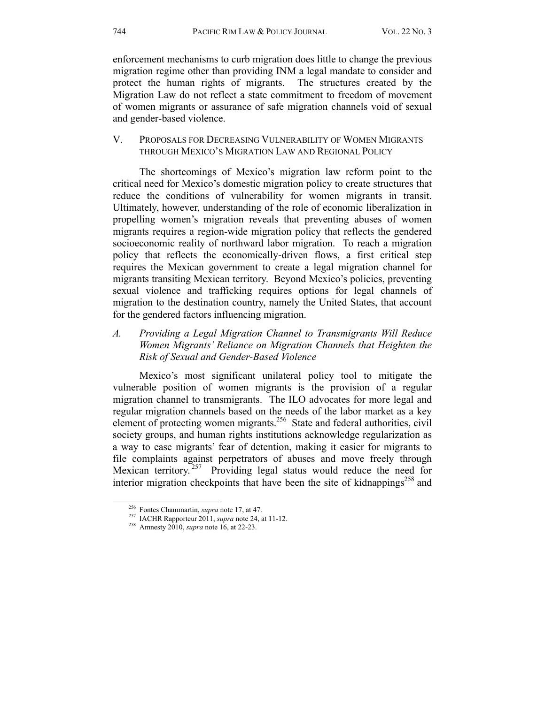enforcement mechanisms to curb migration does little to change the previous migration regime other than providing INM a legal mandate to consider and protect the human rights of migrants. The structures created by the Migration Law do not reflect a state commitment to freedom of movement of women migrants or assurance of safe migration channels void of sexual and gender-based violence.

# V. PROPOSALS FOR DECREASING VULNERABILITY OF WOMEN MIGRANTS THROUGH MEXICO'S MIGRATION LAW AND REGIONAL POLICY

The shortcomings of Mexico's migration law reform point to the critical need for Mexico's domestic migration policy to create structures that reduce the conditions of vulnerability for women migrants in transit. Ultimately, however, understanding of the role of economic liberalization in propelling women's migration reveals that preventing abuses of women migrants requires a region-wide migration policy that reflects the gendered socioeconomic reality of northward labor migration. To reach a migration policy that reflects the economically-driven flows, a first critical step requires the Mexican government to create a legal migration channel for migrants transiting Mexican territory. Beyond Mexico's policies, preventing sexual violence and trafficking requires options for legal channels of migration to the destination country, namely the United States, that account for the gendered factors influencing migration.

*A. Providing a Legal Migration Channel to Transmigrants Will Reduce Women Migrants' Reliance on Migration Channels that Heighten the Risk of Sexual and Gender-Based Violence* 

Mexico's most significant unilateral policy tool to mitigate the vulnerable position of women migrants is the provision of a regular migration channel to transmigrants. The ILO advocates for more legal and regular migration channels based on the needs of the labor market as a key element of protecting women migrants.<sup>256</sup> State and federal authorities, civil society groups, and human rights institutions acknowledge regularization as a way to ease migrants' fear of detention, making it easier for migrants to file complaints against perpetrators of abuses and move freely through Mexican territory.<sup>257</sup> Providing legal status would reduce the need for interior migration checkpoints that have been the site of kidnappings<sup>258</sup> and

 <sup>256</sup> Fontes Chammartin, *supra* note 17, at 47. 257 IACHR Rapporteur 2011, *supra* note 24, at 11-12. 258 Amnesty 2010, *supra* note 16, at 22-23.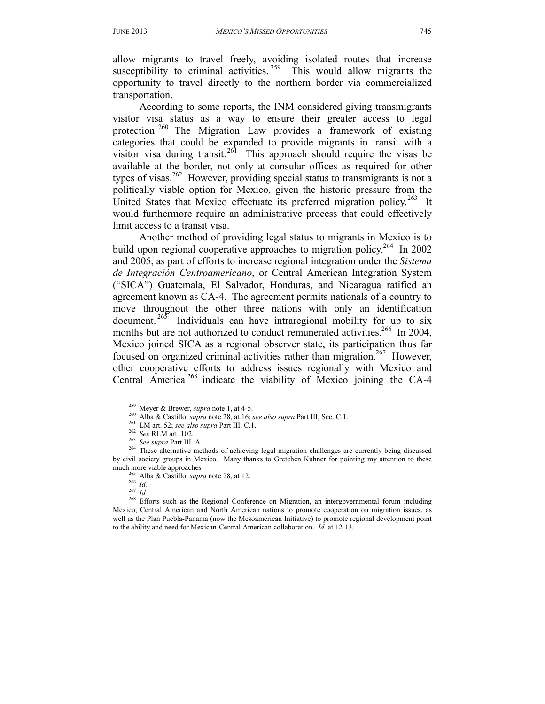allow migrants to travel freely, avoiding isolated routes that increase susceptibility to criminal activities.  $259$  This would allow migrants the opportunity to travel directly to the northern border via commercialized transportation.

According to some reports, the INM considered giving transmigrants visitor visa status as a way to ensure their greater access to legal protection<sup>260</sup> The Migration Law provides a framework of existing categories that could be expanded to provide migrants in transit with a visitor visa during transit.<sup>261</sup> This approach should require the visas be available at the border, not only at consular offices as required for other types of visas.<sup>262</sup> However, providing special status to transmigrants is not a politically viable option for Mexico, given the historic pressure from the United States that Mexico effectuate its preferred migration policy.<sup>263</sup> It would furthermore require an administrative process that could effectively limit access to a transit visa.

Another method of providing legal status to migrants in Mexico is to build upon regional cooperative approaches to migration policy.<sup>264</sup> In 2002 and 2005, as part of efforts to increase regional integration under the *Sistema de Integración Centroamericano*, or Central American Integration System ("SICA") Guatemala, El Salvador, Honduras, and Nicaragua ratified an agreement known as CA-4. The agreement permits nationals of a country to move throughout the other three nations with only an identification document.  $265$  Individuals can have intraregional mobility for up to six months but are not authorized to conduct remunerated activities.<sup>266</sup> In 2004, Mexico joined SICA as a regional observer state, its participation thus far focused on organized criminal activities rather than migration.<sup>267</sup> However, other cooperative efforts to address issues regionally with Mexico and Central America 268 indicate the viability of Mexico joining the CA-4

<sup>&</sup>lt;sup>259</sup> Meyer & Brewer, *supra* note 1, at 4-5.<br><sup>260</sup> Alba & Castillo, *supra* note 28, at 16; *see also supra* Part III, Sec. C.1.<br><sup>261</sup> LM art. 52; *see also supra* Part III, C.1.<br><sup>262</sup> See RLM art. 102.<br><sup>263</sup> See supra P by civil society groups in Mexico. Many thanks to Gretchen Kuhner for pointing my attention to these

much more viable approaches.<br>
<sup>265</sup> Alba & Castillo, *supra* note 28, at 12.<br>
<sup>266</sup> *Id.*<br>
<sup>267</sup> *Id.*<br>
<sup>268</sup> Efforts such as the Regional Conference on Migration, an intergovernmental forum including Mexico, Central American and North American nations to promote cooperation on migration issues, as well as the Plan Puebla-Panama (now the Mesoamerican Initiative) to promote regional development point to the ability and need for Mexican-Central American collaboration. *Id.* at 12-13*.*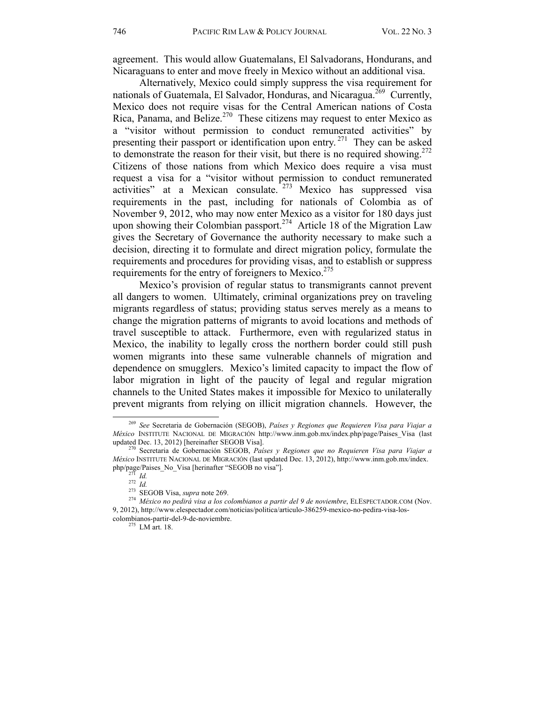agreement. This would allow Guatemalans, El Salvadorans, Hondurans, and Nicaraguans to enter and move freely in Mexico without an additional visa.

Alternatively, Mexico could simply suppress the visa requirement for nationals of Guatemala, El Salvador, Honduras, and Nicaragua.<sup>269</sup> Currently, Mexico does not require visas for the Central American nations of Costa Rica, Panama, and Belize.<sup>270</sup> These citizens may request to enter Mexico as a "visitor without permission to conduct remunerated activities" by presenting their passport or identification upon entry.<sup>271</sup> They can be asked to demonstrate the reason for their visit, but there is no required showing.<sup>272</sup> Citizens of those nations from which Mexico does require a visa must request a visa for a "visitor without permission to conduct remunerated activities" at a Mexican consulate.<sup>273</sup> Mexico has suppressed visa requirements in the past, including for nationals of Colombia as of November 9, 2012, who may now enter Mexico as a visitor for 180 days just upon showing their Colombian passport.<sup>274</sup> Article 18 of the Migration Law gives the Secretary of Governance the authority necessary to make such a decision, directing it to formulate and direct migration policy, formulate the requirements and procedures for providing visas, and to establish or suppress requirements for the entry of foreigners to Mexico.<sup>275</sup>

Mexico's provision of regular status to transmigrants cannot prevent all dangers to women. Ultimately, criminal organizations prey on traveling migrants regardless of status; providing status serves merely as a means to change the migration patterns of migrants to avoid locations and methods of travel susceptible to attack. Furthermore, even with regularized status in Mexico, the inability to legally cross the northern border could still push women migrants into these same vulnerable channels of migration and dependence on smugglers. Mexico's limited capacity to impact the flow of labor migration in light of the paucity of legal and regular migration channels to the United States makes it impossible for Mexico to unilaterally prevent migrants from relying on illicit migration channels. However, the

 <sup>269</sup> *See* Secretaria de Gobernación (SEGOB), *Países y Regiones que Requieren Visa para Viajar a México* INSTITUTE NACIONAL DE MIGRACIÓN http://www.inm.gob.mx/index.php/page/Paises\_Visa (last updated Dec. 13, 2012) [hereinafter SEGOB Visa]. 270 Secretaria de Gobernación SEGOB, *Países y Regiones que no Requieren Visa para Viajar a* 

*México* INSTITUTE NACIONAL DE MIGRACIÓN (last updated Dec. 13, 2012), http://www.inm.gob.mx/index.<br>php/page/Paises\_No\_Visa [herinafter "SEGOB no visa"].

<sup>&</sup>lt;sup>271</sup> Id.<br><sup>272</sup> Id.<br><sup>273</sup> SEGOB Visa, *supra* note 269.<br><sup>274</sup> México no pedirá visa a los colombianos a partir del 9 de noviembre, ELESPECTADOR.COM (Nov. 9, 2012), http://www.elespectador.com/noticias/politica/articulo-386259-mexico-no-pedira-visa-loscolombianos-partir-del-9-de-noviembre. 275 LM art. 18.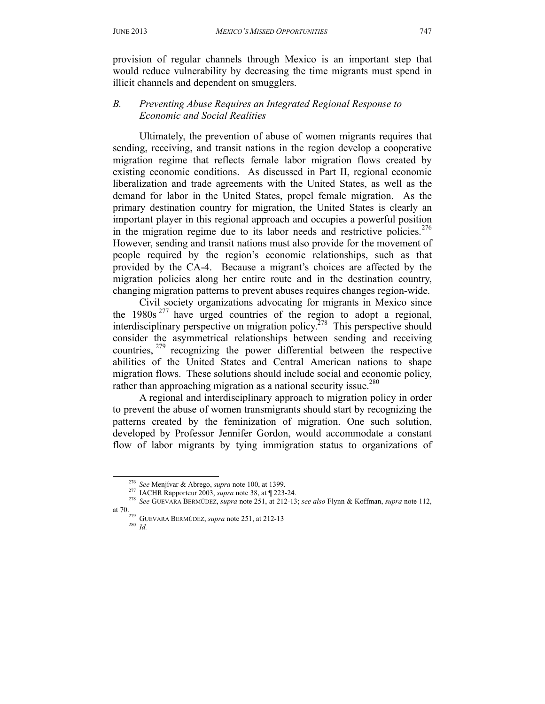provision of regular channels through Mexico is an important step that would reduce vulnerability by decreasing the time migrants must spend in illicit channels and dependent on smugglers.

# *B. Preventing Abuse Requires an Integrated Regional Response to Economic and Social Realities*

Ultimately, the prevention of abuse of women migrants requires that sending, receiving, and transit nations in the region develop a cooperative migration regime that reflects female labor migration flows created by existing economic conditions. As discussed in Part II, regional economic liberalization and trade agreements with the United States, as well as the demand for labor in the United States, propel female migration. As the primary destination country for migration, the United States is clearly an important player in this regional approach and occupies a powerful position in the migration regime due to its labor needs and restrictive policies.<sup>276</sup> However, sending and transit nations must also provide for the movement of people required by the region's economic relationships, such as that provided by the CA-4. Because a migrant's choices are affected by the migration policies along her entire route and in the destination country, changing migration patterns to prevent abuses requires changes region-wide.

Civil society organizations advocating for migrants in Mexico since the  $1980s^{277}$  have urged countries of the region to adopt a regional, interdisciplinary perspective on migration policy.<sup>278</sup> This perspective should consider the asymmetrical relationships between sending and receiving countries, 279 recognizing the power differential between the respective abilities of the United States and Central American nations to shape migration flows. These solutions should include social and economic policy, rather than approaching migration as a national security issue.<sup>280</sup>

A regional and interdisciplinary approach to migration policy in order to prevent the abuse of women transmigrants should start by recognizing the patterns created by the feminization of migration. One such solution, developed by Professor Jennifer Gordon, would accommodate a constant flow of labor migrants by tying immigration status to organizations of

- at 70. 279 GUEVARA BERMÚDEZ, *supra* note 251, at 212-13 280 *Id.*
	-

<sup>&</sup>lt;sup>276</sup> See Menjivar & Abrego, *supra* note 100, at 1399.<br><sup>277</sup> IACHR Rapporteur 2003, *supra* note 38, at ¶ 223-24.<br><sup>278</sup> See GUEVARA BERMÚDEZ, *supra* note 251, at 212-13; *see also* Flynn & Koffman, *supra* note 112,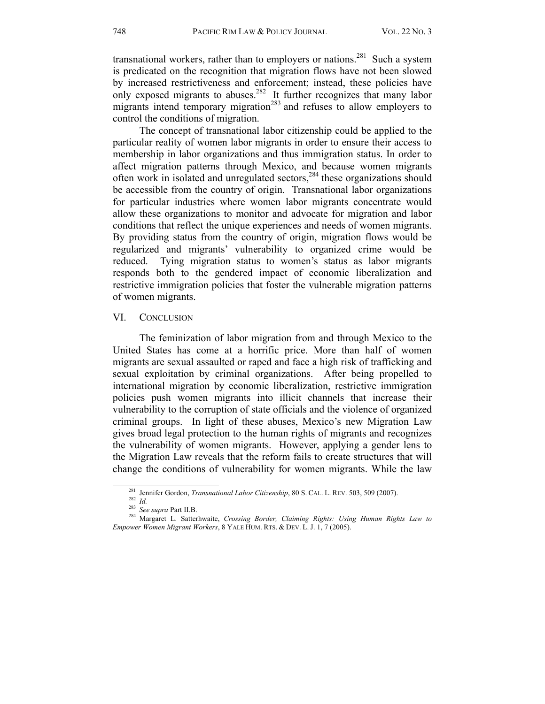transnational workers, rather than to employers or nations.<sup>281</sup> Such a system is predicated on the recognition that migration flows have not been slowed by increased restrictiveness and enforcement; instead, these policies have only exposed migrants to abuses.<sup>282</sup> It further recognizes that many labor migrants intend temporary migration<sup>283</sup> and refuses to allow employers to control the conditions of migration.

The concept of transnational labor citizenship could be applied to the particular reality of women labor migrants in order to ensure their access to membership in labor organizations and thus immigration status. In order to affect migration patterns through Mexico, and because women migrants often work in isolated and unregulated sectors,<sup>284</sup> these organizations should be accessible from the country of origin. Transnational labor organizations for particular industries where women labor migrants concentrate would allow these organizations to monitor and advocate for migration and labor conditions that reflect the unique experiences and needs of women migrants. By providing status from the country of origin, migration flows would be regularized and migrants' vulnerability to organized crime would be reduced. Tying migration status to women's status as labor migrants responds both to the gendered impact of economic liberalization and restrictive immigration policies that foster the vulnerable migration patterns of women migrants.

#### VI. CONCLUSION

The feminization of labor migration from and through Mexico to the United States has come at a horrific price. More than half of women migrants are sexual assaulted or raped and face a high risk of trafficking and sexual exploitation by criminal organizations. After being propelled to international migration by economic liberalization, restrictive immigration policies push women migrants into illicit channels that increase their vulnerability to the corruption of state officials and the violence of organized criminal groups. In light of these abuses, Mexico's new Migration Law gives broad legal protection to the human rights of migrants and recognizes the vulnerability of women migrants. However, applying a gender lens to the Migration Law reveals that the reform fails to create structures that will change the conditions of vulnerability for women migrants. While the law

<sup>&</sup>lt;sup>281</sup> Jennifer Gordon, *Transnational Labor Citizenship*, 80 S. CAL. L. REV. 503, 509 (2007).<br><sup>282</sup> Id.<br><sup>283</sup> See supra Part II.B.<br><sup>283</sup> See supra Part II.B.<br><sup>284</sup> Margaret L. Satterhwaite, *Crossing Border, Claiming Righ Empower Women Migrant Workers*, 8 YALE HUM. RTS. & DEV. L. J. 1, 7 (2005).